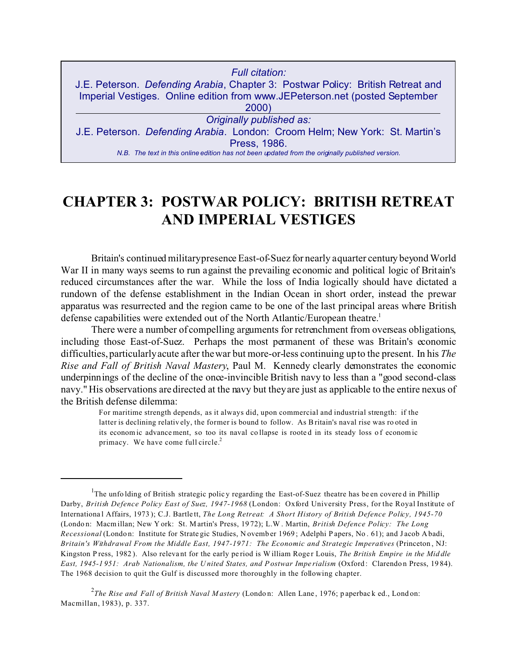*Full citation:* J.E. Peterson. *Defending Arabia*, Chapter 3: Postwar Policy: British Retreat and Imperial Vestiges. Online edition from www.JEPeterson.net (posted September 2000) *Originally published as:* J.E. Peterson. *Defending Arabia*. London: Croom Helm; New York: St. Martin's Press, 1986. *N.B. The text in this online edition has not been updated from the originally published version.*

# **CHAPTER 3: POSTWAR POLICY: BRITISH RETREAT AND IMPERIAL VESTIGES**

Britain's continued military presence East-of-Suez for nearly a quarter century beyond World War II in many ways seems to run against the prevailing economic and political logic of Britain's reduced circumstances after the war. While the loss of India logically should have dictated a rundown of the defense establishment in the Indian Ocean in short order, instead the prewar apparatus was resurrected and the region came to be one of the last principal areas where British defense capabilities were extended out of the North Atlantic/European theatre.<sup>1</sup>

There were a number of compelling arguments for retrenchment from overseas obligations, including those East-of-Suez. Perhaps the most permanent of these was Britain's economic difficulties, particularly acute after the war but more-or-less continuing up to the present. In his *The Rise and Fall of British Naval Mastery*, Paul M. Kennedy clearly demonstrates the economic underpinnings of the decline of the once-invincible British navy to less than a "good second-class navy." His observations are directed at the navy but they are just as applicable to the entire nexus of the British defense dilemma:

For maritime strength depends, as it always did, upon commercial and industrial strength: if the latter is declining relativ ely, the former is bound to follow. As Britain's naval rise was ro oted in its economic advance ment, so too its naval collapse is rooted in its steady loss of economic primacy. We have come full circle.<sup>2</sup>

<sup>2</sup>The Rise and Fall of British Naval Mastery (London: Allen Lane, 1976; paperback ed., London: Macmillan, 1983), p. 337.

<sup>&</sup>lt;sup>1</sup>The unfolding of British strategic policy regarding the East-of-Suez theatre has been covered in Phillip Darby, *British Defence Policy East of Suez, 1947-1968* (London: Oxford University Press, for the Royal Institute of Internationa l Affairs, 1973 ); C.J. Bartle tt, *The Long Retreat: A Short History of British Defence Policy, 1945-70* (Londo n: Macmillan; New Y ork: St. Martin's Press, 19 72); L.W . Martin, *British Defence Policy: The Long Recessional* (Londo n: Institute for Strate gic Studies, N ovemb er 1969 ; Adelphi P apers, No . 61); and J acob A badi, *Britain's Withdrawal From the Middle East, 1947-1971: The Economic and Strategic Imperatives* (Princeton , NJ: Kingston P ress, 1982 ). Also releva nt for the early pe riod is W illiam Roge r Louis, *The British Empire in the Mid dle East, 1945-1 951: Arab Nationalism, the U nited States, and P ostwar Impe rialism* (Oxford : Clarendo n Press, 19 84). The 1968 decision to quit the Gulf is discussed more thoroughly in the following chapter.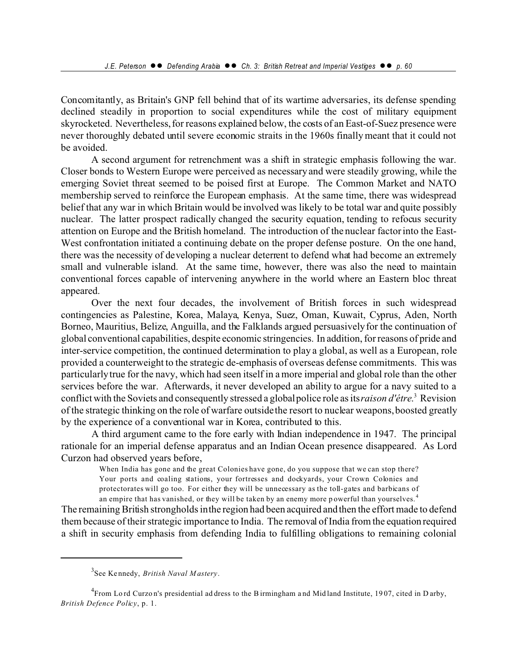Concomitantly, as Britain's GNP fell behind that of its wartime adversaries, its defense spending declined steadily in proportion to social expenditures while the cost of military equipment skyrocketed. Nevertheless, for reasons explained below, the costs of an East-of-Suez presence were never thoroughly debated until severe economic straits in the 1960s finally meant that it could not be avoided.

A second argument for retrenchment was a shift in strategic emphasis following the war. Closer bonds to Western Europe were perceived as necessary and were steadily growing, while the emerging Soviet threat seemed to be poised first at Europe. The Common Market and NATO membership served to reinforce the European emphasis. At the same time, there was widespread belief that any war in which Britain would be involved was likely to be total war and quite possibly nuclear. The latter prospect radically changed the security equation, tending to refocus security attention on Europe and the British homeland. The introduction of the nuclear factor into the East-West confrontation initiated a continuing debate on the proper defense posture. On the one hand, there was the necessity of developing a nuclear deterrent to defend what had become an extremely small and vulnerable island. At the same time, however, there was also the need to maintain conventional forces capable of intervening anywhere in the world where an Eastern bloc threat appeared.

Over the next four decades, the involvement of British forces in such widespread contingencies as Palestine, Korea, Malaya, Kenya, Suez, Oman, Kuwait, Cyprus, Aden, North Borneo, Mauritius, Belize, Anguilla, and the Falklands argued persuasively for the continuation of global conventional capabilities, despite economic stringencies. In addition, for reasons of pride and inter-service competition, the continued determination to play a global, as well as a European, role provided a counterweight to the strategic de-emphasis of overseas defense commitments. This was particularly true for the navy, which had seen itself in a more imperial and global role than the other services before the war. Afterwards, it never developed an ability to argue for a navy suited to a conflict with the Soviets and consequently stressed a global police role as its*raison d'étre*. 3 Revision of the strategic thinking on the role of warfare outside the resort to nuclear weapons, boosted greatly by the experience of a conventional war in Korea, contributed to this.

A third argument came to the fore early with Indian independence in 1947. The principal rationale for an imperial defense apparatus and an Indian Ocean presence disappeared. As Lord Curzon had observed years before,

When India has gone and the great Colonies have gone, do you suppose that we can stop there? Your ports and coaling stations, your fortresses and dockyards, your Crown Colonies and protectorates will go too. For either they will be unnecessary as the toll-gates and barbicans of an empire that has vanished, or they will be taken by an enemy more p owerful than yourselves. <sup>4</sup>

The remaining British strongholds in the region had been acquired and then the effort made to defend them because of their strategic importance to India. The removal of India from the equation required a shift in security emphasis from defending India to fulfilling obligations to remaining colonial

<sup>3</sup> See Ke nnedy, *British Naval M astery*.

<sup>&</sup>lt;sup>4</sup> From Lord Curzon's presidential ad dress to the B irmingham and Mid land Institute, 1907, cited in D arby, *British Defence Policy*, p. 1.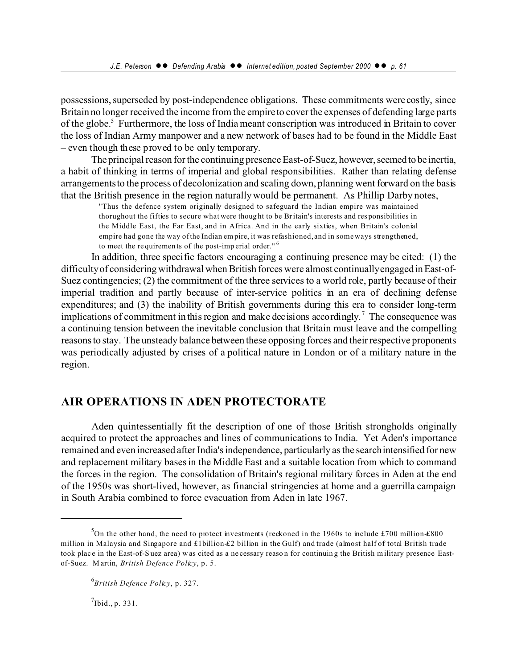possessions, superseded by post-independence obligations. These commitments were costly, since Britain no longer received the income from the empire to cover the expenses of defending large parts of the globe.<sup>5</sup> Furthermore, the loss of India meant conscription was introduced in Britain to cover the loss of Indian Army manpower and a new network of bases had to be found in the Middle East – even though these proved to be only temporary.

The principal reason for the continuing presence East-of-Suez, however,seemed to be inertia, a habit of thinking in terms of imperial and global responsibilities. Rather than relating defense arrangements to the process of decolonization and scaling down, planning went forward on the basis that the British presence in the region naturally would be permanent. As Phillip Darby notes,

"Thus the defence system originally designed to safeguard the Indian empire was maintained thorughout the fifties to secure what were thoug ht to be Britain's interests and res ponsibilities in the Middle East, the Far East, and in Africa. And in the early sixties, when Britain's colonial empire had gone the way of the Indian em pire, it was refashioned, and in some ways strengthened, to meet the re quiremen ts of the post-imp erial order." <sup>6</sup>

In addition, three specific factors encouraging a continuing presence may be cited: (1) the difficulty of considering withdrawal when British forces were almost continually engaged in East-of-Suez contingencies; (2) the commitment of the three services to a world role, partly because of their imperial tradition and partly because of inter-service politics in an era of declining defense expenditures; and (3) the inability of British governments during this era to consider long-term implications of commitment in this region and make decisions accordingly.<sup>7</sup> The consequence was a continuing tension between the inevitable conclusion that Britain must leave and the compelling reasons to stay. The unsteady balance between these opposing forces and their respective proponents was periodically adjusted by crises of a political nature in London or of a military nature in the region.

## **AIR OPERATIONS IN ADEN PROTECTORATE**

Aden quintessentially fit the description of one of those British strongholds originally acquired to protect the approaches and lines of communications to India. Yet Aden's importance remained and even increased after India's independence, particularly as the search intensified for new and replacement military bases in the Middle East and a suitable location from which to command the forces in the region. The consolidation of Britain's regional military forces in Aden at the end of the 1950s was short-lived, however, as financial stringencies at home and a guerrilla campaign in South Arabia combined to force evacuation from Aden in late 1967.

 $^{7}$ Ibid., p. 331.

 $5$ On the other hand, the need to protect investments (reckoned in the 1960s to include £700 million-£800 million in Malaysia and Singapore and £1billion-£2 billion in the Gulf) and trade (almost half of total British trade took plac e in the East-of-S uez area) w as cited as a ne cessary reaso n for continuin g the British military presence Eastof-Suez. M artin, *British Defence Policy*, p. 5.

<sup>6</sup> *British Defence Policy*, p. 327.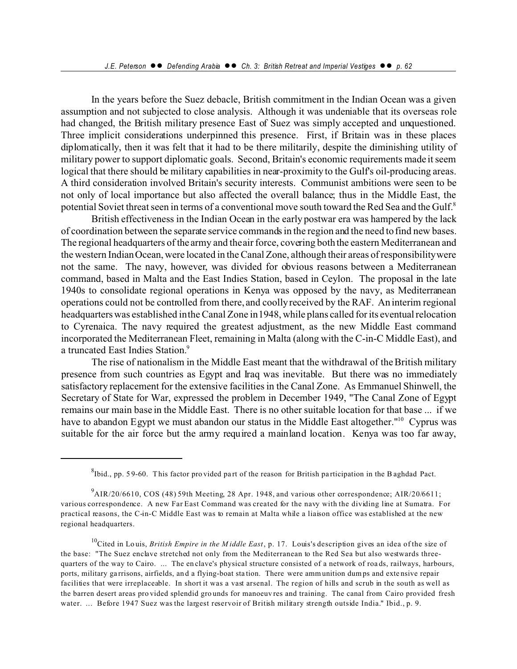In the years before the Suez debacle, British commitment in the Indian Ocean was a given assumption and not subjected to close analysis. Although it was undeniable that its overseas role had changed, the British military presence East of Suez was simply accepted and unquestioned. Three implicit considerations underpinned this presence. First, if Britain was in these places diplomatically, then it was felt that it had to be there militarily, despite the diminishing utility of military power to support diplomatic goals. Second, Britain's economic requirements made it seem logical that there should be military capabilities in near-proximity to the Gulf's oil-producing areas. A third consideration involved Britain's security interests. Communist ambitions were seen to be not only of local importance but also affected the overall balance; thus in the Middle East, the potential Soviet threat seen in terms of a conventional move south toward the Red Sea and the Gulf.<sup>8</sup>

British effectiveness in the Indian Ocean in the early postwar era was hampered by the lack of coordination between the separate service commands in the region and the need to find new bases. The regional headquarters of the army and the air force, covering both the eastern Mediterranean and the western Indian Ocean, were located in the Canal Zone, although their areas of responsibility were not the same. The navy, however, was divided for obvious reasons between a Mediterranean command, based in Malta and the East Indies Station, based in Ceylon. The proposal in the late 1940s to consolidate regional operations in Kenya was opposed by the navy, as Mediterranean operations could not be controlled from there, and coolly received by the RAF. An interim regional headquarters was established in the Canal Zone in 1948, while plans called for its eventual relocation to Cyrenaica. The navy required the greatest adjustment, as the new Middle East command incorporated the Mediterranean Fleet, remaining in Malta (along with the C-in-C Middle East), and a truncated East Indies Station.<sup>9</sup>

The rise of nationalism in the Middle East meant that the withdrawal of the British military presence from such countries as Egypt and Iraq was inevitable. But there was no immediately satisfactory replacement for the extensive facilities in the Canal Zone. As Emmanuel Shinwell, the Secretary of State for War, expressed the problem in December 1949, "The Canal Zone of Egypt remains our main base in the Middle East. There is no other suitable location for that base ... if we have to abandon Egypt we must abandon our status in the Middle East altogether."<sup>10</sup> Cyprus was suitable for the air force but the army required a mainland location. Kenya was too far away,

 ${}^{8}$ Ibid., pp. 59-60. This factor pro vided part of the reason for British participation in the B aghdad Pact.

 $^{9}$ AIR/20/6610, COS (48) 59th Meeting, 28 Apr. 1948, and various other correspondence; AIR/20/6611; various correspondence. A new Far East Command was created for the navy with the dividing line at Sumatra. For practical reasons, the C-in-C Middle East was to remain at Malta while a liaison office was established at the new regional headquarters.

<sup>10</sup>Cited in Lo uis, *British Empire in the M iddle East*, p. 17. Louis's description gives an idea of the size of the base: "The Suez enclave stretched not only from the Mediterranean to the Red Sea but also westwards threequarters of the way to Cairo. ... The en clave's physical structure consisted of a network of roa ds, railways, harbours, ports, military ga rrisons, airfields, an d a flying-boat sta tion. There were amm unition dumps and exte nsive repair facilities that were irreplaceable. In short it was a vast arsenal. The region of hills and scrub in the south as well as the barren desert areas pro vided splendid gro unds for manoeuv res and training. The canal from Cairo provided fresh water. ... Before 1947 Suez was the largest reservoir of British military strength outside India." Ibid., p. 9.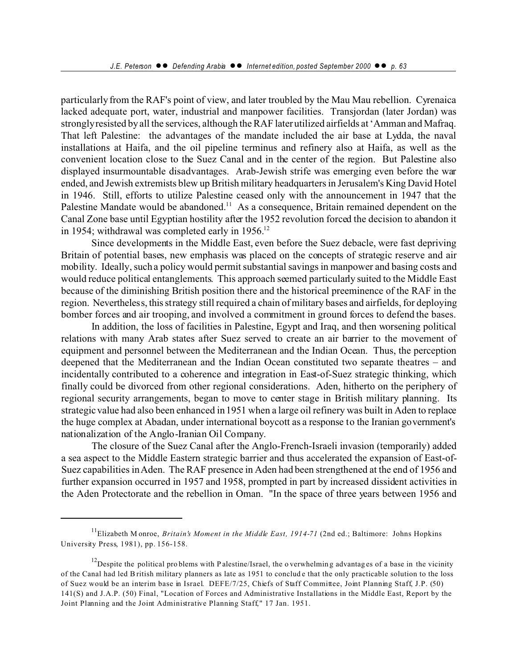particularly from the RAF's point of view, and later troubled by the Mau Mau rebellion. Cyrenaica lacked adequate port, water, industrial and manpower facilities. Transjordan (later Jordan) was strongly resisted by all the services, although the RAF later utilized airfields at 'Amman and Mafraq. That left Palestine: the advantages of the mandate included the air base at Lydda, the naval installations at Haifa, and the oil pipeline terminus and refinery also at Haifa, as well as the convenient location close to the Suez Canal and in the center of the region. But Palestine also displayed insurmountable disadvantages. Arab-Jewish strife was emerging even before the war ended, and Jewish extremists blew up British military headquarters in Jerusalem's King David Hotel in 1946. Still, efforts to utilize Palestine ceased only with the announcement in 1947 that the Palestine Mandate would be abandoned.<sup>11</sup> As a consequence, Britain remained dependent on the Canal Zone base until Egyptian hostility after the 1952 revolution forced the decision to abandon it in 1954; withdrawal was completed early in  $1956$ <sup>12</sup>

Since developments in the Middle East, even before the Suez debacle, were fast depriving Britain of potential bases, new emphasis was placed on the concepts of strategic reserve and air mobility. Ideally, such a policy would permit substantial savings in manpower and basing costs and would reduce political entanglements. This approach seemed particularly suited to the Middle East because of the diminishing British position there and the historical preeminence of the RAF in the region. Nevertheless, this strategy still required a chain of military bases and airfields, for deploying bomber forces and air trooping, and involved a commitment in ground forces to defend the bases.

In addition, the loss of facilities in Palestine, Egypt and Iraq, and then worsening political relations with many Arab states after Suez served to create an air barrier to the movement of equipment and personnel between the Mediterranean and the Indian Ocean. Thus, the perception deepened that the Mediterranean and the Indian Ocean constituted two separate theatres – and incidentally contributed to a coherence and integration in East-of-Suez strategic thinking, which finally could be divorced from other regional considerations. Aden, hitherto on the periphery of regional security arrangements, began to move to center stage in British military planning. Its strategic value had also been enhanced in 1951 when a large oil refinery was built in Aden to replace the huge complex at Abadan, under international boycott as a response to the Iranian government's nationalization of the Anglo-Iranian Oil Company.

The closure of the Suez Canal after the Anglo-French-Israeli invasion (temporarily) added a sea aspect to the Middle Eastern strategic barrier and thus accelerated the expansion of East-of-Suez capabilities in Aden. The RAF presence in Aden had been strengthened at the end of 1956 and further expansion occurred in 1957 and 1958, prompted in part by increased dissident activities in the Aden Protectorate and the rebellion in Oman. "In the space of three years between 1956 and

<sup>&</sup>lt;sup>11</sup>Elizabeth M onroe, *Britain's Moment in the Middle East, 1914-71* (2nd ed.; Baltimore: Johns Hopkins University Press, 1981), pp. 156-158.

<sup>&</sup>lt;sup>12</sup>Despite the political problems with P alestine/Israel, the o verwhelming advantages of a base in the vicinity of the Canal had led B ritish military planners as late as 1951 to conclud e that the only practicable solution to the loss of Suez would be an interim base in Israel. DEFE/7/25, Chiefs of Staff Committee, Joint Planning Staff, J.P. (50) 141(S) and J.A.P. (50) Final, "Location of Forces and Administrative Installations in the Middle East, Report by the Joint Planning and the Joint Administrative Planning Staff," 17 Jan. 1951.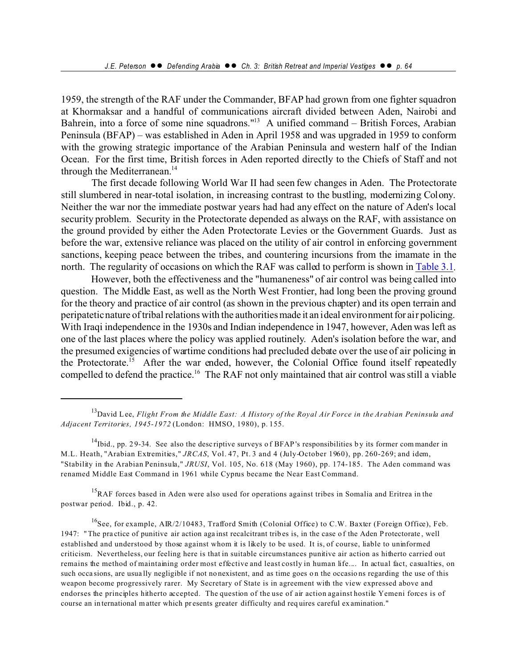1959, the strength of the RAF under the Commander, BFAP had grown from one fighter squadron at Khormaksar and a handful of communications aircraft divided between Aden, Nairobi and Bahrein, into a force of some nine squadrons."<sup>13</sup> A unified command – British Forces, Arabian Peninsula (BFAP) – was established in Aden in April 1958 and was upgraded in 1959 to conform with the growing strategic importance of the Arabian Peninsula and western half of the Indian Ocean. For the first time, British forces in Aden reported directly to the Chiefs of Staff and not through the Mediterranean.<sup>14</sup>

The first decade following World War II had seen few changes in Aden. The Protectorate still slumbered in near-total isolation, in increasing contrast to the bustling, modernizing Colony. Neither the war nor the immediate postwar years had had any effect on the nature of Aden's local security problem. Security in the Protectorate depended as always on the RAF, with assistance on the ground provided by either the Aden Protectorate Levies or the Government Guards. Just as before the war, extensive reliance was placed on the utility of air control in enforcing government sanctions, keeping peace between the tribes, and countering incursions from the imamate in the north. The regularity of occasions on which the RAF was called to perform is shown in Table 3.1.

However, both the effectiveness and the "humaneness" of air control was being called into question. The Middle East, as well as the North West Frontier, had long been the proving ground for the theory and practice of air control (as shown in the previous chapter) and its open terrain and peripatetic nature of tribal relations with the authorities made it an ideal environment for air policing. With Iraqi independence in the 1930s and Indian independence in 1947, however, Aden was left as one of the last places where the policy was applied routinely. Aden's isolation before the war, and the presumed exigencies of wartime conditions had precluded debate over the use of air policing in the Protectorate.<sup>15</sup> After the war ended, however, the Colonial Office found itself repeatedly compelled to defend the practice.<sup>16</sup> The RAF not only maintained that air control was still a viable

<sup>15</sup>RAF forces based in Aden were also used for operations against tribes in Somalia and Eritrea in the postwar period. Ibid., p. 42.

<sup>16</sup>See, for example, AIR/2/10483, Trafford Smith (Colonial Office) to C.W. Baxter (Foreign Office), Feb. 1947: " The pra ctice of punitive air action aga inst recalcitrant trib es is, in the case o f the Aden P rotectorate , well established and understood by those against whom it is likely to be used. It is, of course, liable to uninformed criticism. Nevertheless, our feeling here is that in suitable circumstances punitive air action as hitherto carried out remains the method of maintaining order most effective and least costly in human life.... In actual fact, casualties, on such occasions, are usually negligible if not no nexistent, and as time goes on the occasions regarding the use of this weapon become progressively rarer. My Secretary of State is in agreement with the view expressed above and endorses the principles hitherto accepted. The question of the use of air action against hostile Yemeni forces is of course an in ternational matter which pr esents greater difficulty and req uires careful ex amination."

<sup>13</sup>David Lee, *Flight From the Middle East: A History of the Royal Air Force in the Arabian Peninsula and Adjacent Territories, 1945-1972* (London: HMSO, 1980), p. 155.

 $14$ Ibid., pp. 29-34. See also the descriptive surveys of BFAP's responsibilities by its former commander in M.L. Heath, "Arabian Extremities," *JRCAS*, Vol. 47, Pt. 3 and 4 (July-October 1960), pp. 260-269; and idem, "Stability in the Arabian Peninsula," *JRUSI*, Vol. 105, No. 618 (May 1960), pp. 174-185. The Aden command was renamed Middle East Command in 1961 while Cyprus became the Near East Command.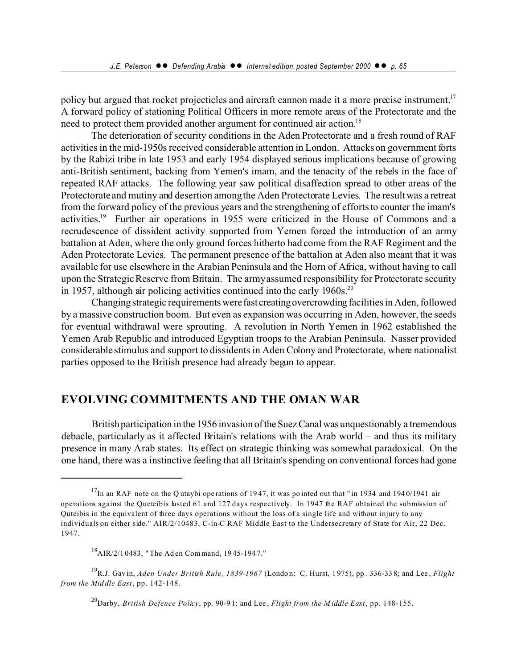policy but argued that rocket projecticles and aircraft cannon made it a more precise instrument.<sup>17</sup> A forward policy of stationing Political Officers in more remote areas of the Protectorate and the need to protect them provided another argument for continued air action.<sup>18</sup>

The deterioration of security conditions in the Aden Protectorate and a fresh round of RAF activities in the mid-1950s received considerable attention in London. Attacks on government forts by the Rabizi tribe in late 1953 and early 1954 displayed serious implications because of growing anti-British sentiment, backing from Yemen's imam, and the tenacity of the rebels in the face of repeated RAF attacks. The following year saw political disaffection spread to other areas of the Protectorate and mutiny and desertion among the Aden Protectorate Levies. The result was a retreat from the forward policy of the previous years and the strengthening of efforts to counter the imam's activities.<sup>19</sup> Further air operations in 1955 were criticized in the House of Commons and a recrudescence of dissident activity supported from Yemen forced the introduction of an army battalion at Aden, where the only ground forces hitherto had come from the RAF Regiment and the Aden Protectorate Levies. The permanent presence of the battalion at Aden also meant that it was available for use elsewhere in the Arabian Peninsula and the Horn of Africa, without having to call upon the Strategic Reserve from Britain. The army assumed responsibility for Protectorate security in 1957, although air policing activities continued into the early  $1960s$ <sup>20</sup>

Changing strategic requirements were fast creatingovercrowding facilities in Aden, followed by a massive construction boom. But even as expansion was occurring in Aden, however, the seeds for eventual withdrawal were sprouting. A revolution in North Yemen in 1962 established the Yemen Arab Republic and introduced Egyptian troops to the Arabian Peninsula. Nasser provided considerable stimulus and support to dissidents in Aden Colony and Protectorate, where nationalist parties opposed to the British presence had already begun to appear.

#### **EVOLVING COMMITMENTS AND THE OMAN WAR**

British participation in the 1956 invasion of the Suez Canal was unquestionably a tremendous debacle, particularly as it affected Britain's relations with the Arab world – and thus its military presence in many Arab states. Its effect on strategic thinking was somewhat paradoxical. On the one hand, there was a instinctive feeling that all Britain's spending on conventional forces had gone

<sup>20</sup>Darby, *British Defence Policy*, pp. 90-9 1; and Lee , *Flight from the M iddle East*, pp. 148-155.

 $17$ In an RAF note on the Qutaybi operations of 1947, it was pointed out that "in 1934 and 1940/1941 air operations against the Queteibis lasted 61 and 127 days respectively. In 1947 the RAF obtained the submission of Quteibis in the equivalent of three days operations without the loss of a single life and without injury to any individuals on either side." AIR/2/10483, C-in-C RAF Middle East to the Undersecretary of State for Air, 22 Dec. 1947.

<sup>&</sup>lt;sup>18</sup>AIR/2/10483, "The Ad en Command, 1945-1947."

<sup>19</sup>R.J. Gav in, *Aden Under British Rule, 1839-1967* (Londo n: C. Hurst, 1 975), pp . 336-33 8; and Lee , *Flight from the Mid dle East*, pp. 142-148.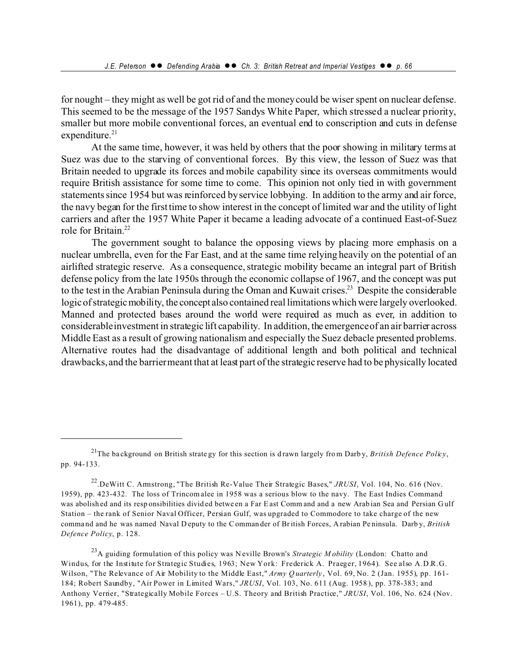for nought – they might as well be got rid of and the money could be wiser spent on nuclear defense. This seemed to be the message of the 1957 Sandys White Paper, which stressed a nuclear priority, smaller but more mobile conventional forces, an eventual end to conscription and cuts in defense expenditure.<sup>21</sup>

At the same time, however, it was held by others that the poor showing in military terms at Suez was due to the starving of conventional forces. By this view, the lesson of Suez was that Britain needed to upgrade its forces and mobile capability since its overseas commitments would require British assistance for some time to come. This opinion not only tied in with government statements since 1954 but was reinforced by service lobbying. In addition to the army and air force, the navy began for the first time to show interest in the concept of limited war and the utility of light carriers and after the 1957 White Paper it became a leading advocate of a continued East-of-Suez role for Britain.<sup>22</sup>

The government sought to balance the opposing views by placing more emphasis on a nuclear umbrella, even for the Far East, and at the same time relying heavily on the potential of an airlifted strategic reserve. As a consequence, strategic mobility became an integral part of British defense policy from the late 1950s through the economic collapse of 1967, and the concept was put to the test in the Arabian Peninsula during the Oman and Kuwait crises.<sup>23</sup> Despite the considerable logic of strategic mobility, the concept also contained real limitations which were largely overlooked. Manned and protected bases around the world were required as much as ever, in addition to considerable investment in strategic lift capability. In addition, the emergence of an air barrier across Middle East as a result of growing nationalism and especially the Suez debacle presented problems. Alternative routes had the disadvantage of additional length and both political and technical drawbacks, and the barrier meant that at least part of the strategic reserve had to be physically located

<sup>21</sup>The ba ckground on British strate gy for this section is d rawn largely from Darb y, *British Defence Policy*, pp. 94-133.

<sup>22</sup>.DeWitt C. Armstrong, "The British Re-Value Their Strategic Bases," *JRUSI*, Vol. 104, No. 616 (Nov. 1959), pp. 423-432. The loss of Trincom alee in 1958 was a serious blow to the navy. The East Indies Command was abolish ed and its resp onsibilities divid ed betwe en a Far East Comm and and a new Arab ian Sea and Persian G ulf Station – the rank of Senior Naval Officer, Persian Gulf, was upgraded to Commodore to take charge of the new comma nd and he was named Naval D eputy to the Comman der of British Forces, A rabian Pe ninsula. Darb y, *British Defence Policy*, p. 128.

<sup>23</sup>A guiding formulation of this policy was N eville Brown's *Strategic M obility* (London: Chatto and Windus, for the Institute for Strategic Studies, 1963; New York: Frederick A. Praeger, 1964). See also A.D.R.G. Wilson, "The Relevance of Air Mobility to the Middle East," *Army Quarterly*, Vol. 69, No. 2 (Jan. 1955), pp. 161-184; Robert Saundby, "Air Power in Limited Wars," *JRUSI*, Vol. 103, No. 611 (Aug. 1958 ), pp. 378-383; and Anthony Verrier, "Strategically Mobile Forces – U.S. Theory and British Practice," *JRUSI*, Vol. 106, No. 624 (Nov. 1961), pp. 479-485.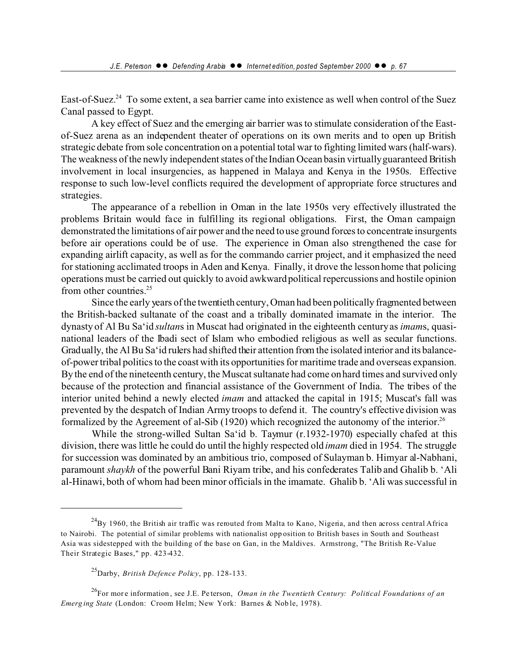East-of-Suez.<sup>24</sup> To some extent, a sea barrier came into existence as well when control of the Suez Canal passed to Egypt.

A key effect of Suez and the emerging air barrier was to stimulate consideration of the Eastof-Suez arena as an independent theater of operations on its own merits and to open up British strategic debate from sole concentration on a potential total war to fighting limited wars (half-wars). The weakness of the newly independent states of the Indian Ocean basin virtually guaranteed British involvement in local insurgencies, as happened in Malaya and Kenya in the 1950s. Effective response to such low-level conflicts required the development of appropriate force structures and strategies.

The appearance of a rebellion in Oman in the late 1950s very effectively illustrated the problems Britain would face in fulfilling its regional obligations. First, the Oman campaign demonstrated the limitations of air power and the need to use ground forces to concentrate insurgents before air operations could be of use. The experience in Oman also strengthened the case for expanding airlift capacity, as well as for the commando carrier project, and it emphasized the need for stationing acclimated troops in Aden and Kenya. Finally, it drove the lesson home that policing operations must be carried out quickly to avoid awkward political repercussions and hostile opinion from other countries. $25$ 

Since the early years of the twentieth century, Oman had been politically fragmented between the British-backed sultanate of the coast and a tribally dominated imamate in the interior. The dynasty of Al Bu Sa'id *sultan*s in Muscat had originated in the eighteenth century as *imam*s, quasinational leaders of the Ibadi sect of Islam who embodied religious as well as secular functions. Gradually, the Al Bu Sa'id rulers had shifted their attention from the isolated interior and its balanceof-power tribal politics to the coast with its opportunities for maritime trade and overseas expansion. By the end of the nineteenth century, the Muscat sultanate had come on hard times and survived only because of the protection and financial assistance of the Government of India. The tribes of the interior united behind a newly elected *imam* and attacked the capital in 1915; Muscat's fall was prevented by the despatch of Indian Army troops to defend it. The country's effective division was formalized by the Agreement of al-Sib (1920) which recognized the autonomy of the interior.<sup>26</sup>

While the strong-willed Sultan Sa'id b. Taymur (r.1932-1970) especially chafed at this division, there was little he could do until the highly respected old *imam* died in 1954. The struggle for succession was dominated by an ambitious trio, composed of Sulayman b. Himyar al-Nabhani, paramount *shaykh* of the powerful Bani Riyam tribe, and his confederates Talib and Ghalib b. 'Ali al-Hinawi, both of whom had been minor officials in the imamate. Ghalib b. 'Ali was successful in

 $^{24}$ By 1960, the British air traffic was rerouted from Malta to Kano, Nigeria, and then across central Africa to Nairobi. The potential of similar problems with nationalist opp osition to British bases in South and Southeast Asia was sidestepped with the building of the base on Gan, in the Maldives. Armstrong, "The British Re-Value Their Strategic Bases," pp. 423-432.

<sup>25</sup>Darby, *British Defence Policy*, pp. 128-133.

<sup>26</sup>For mor e information , see J.E. Pe terson, *Oman in the Twentieth Century: Political Foundations of an Emerg ing State* (London: Croom Helm; New York: Barnes & Nob le, 1978).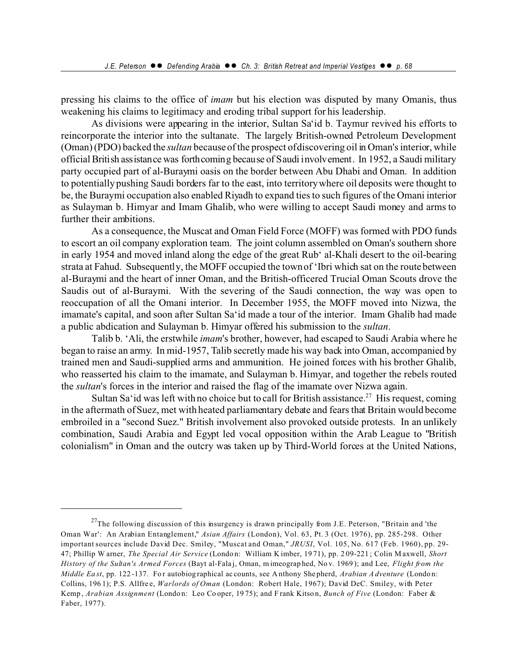pressing his claims to the office of *imam* but his election was disputed by many Omanis, thus weakening his claims to legitimacy and eroding tribal support for his leadership.

As divisions were appearing in the interior, Sultan Sa'id b. Taymur revived his efforts to reincorporate the interior into the sultanate. The largely British-owned Petroleum Development (Oman) (PDO) backed the *sultan* because of the prospect of discovering oil in Oman's interior, while official British assistance was forthcoming because of Saudi involvement. In 1952, a Saudi military party occupied part of al-Buraymi oasis on the border between Abu Dhabi and Oman. In addition to potentially pushing Saudi borders far to the east, into territory where oil deposits were thought to be, the Buraymi occupation also enabled Riyadh to expand ties to such figures of the Omani interior as Sulayman b. Himyar and Imam Ghalib, who were willing to accept Saudi money and arms to further their ambitions.

As a consequence, the Muscat and Oman Field Force (MOFF) was formed with PDO funds to escort an oil company exploration team. The joint column assembled on Oman's southern shore in early 1954 and moved inland along the edge of the great Rub' al-Khali desert to the oil-bearing strata at Fahud. Subsequently, the MOFF occupied the town of 'Ibri which sat on the route between al-Buraymi and the heart of inner Oman, and the British-officered Trucial Oman Scouts drove the Saudis out of al-Buraymi. With the severing of the Saudi connection, the way was open to reoccupation of all the Omani interior. In December 1955, the MOFF moved into Nizwa, the imamate's capital, and soon after Sultan Sa'id made a tour of the interior. Imam Ghalib had made a public abdication and Sulayman b. Himyar offered his submission to the *sultan*.

Talib b. 'Ali, the erstwhile *imam*'s brother, however, had escaped to Saudi Arabia where he began to raise an army. In mid-1957, Talib secretly made his way back into Oman, accompanied by trained men and Saudi-supplied arms and ammunition. He joined forces with his brother Ghalib, who reasserted his claim to the imamate, and Sulayman b. Himyar, and together the rebels routed the *sultan*'s forces in the interior and raised the flag of the imamate over Nizwa again.

Sultan Sa'id was left with no choice but to call for British assistance.<sup>27</sup> His request, coming in the aftermath of Suez, met with heated parliamentary debate and fears that Britain would become embroiled in a "second Suez." British involvement also provoked outside protests. In an unlikely combination, Saudi Arabia and Egypt led vocal opposition within the Arab League to "British colonialism" in Oman and the outcry was taken up by Third-World forces at the United Nations,

 $27$ The following discussion of this insurgency is drawn principally from J.E. Peterson, "Britain and 'the Oman War': An Arabian Entanglement," *Asian Affairs* (London), Vol. 63, Pt. 3 (Oct. 1976), pp. 285-298. Other important sources include David Dec. Smiley, "Muscat and Oman," *JRUSI*, Vol. 105, No. 617 (Feb. 1960), pp. 29- 47; Phillip W arner, *The Special Air Service* (Londo n: William K imber, 19 71), pp. 2 09-221 ; Colin M axwell, *Short History of the Sultan's Armed Forces* (Bayt al-Fala j, Oman, m imeograp hed, No v. 1969 ); and Lee, *Flight from the Middle East*, pp. 122-137. For autobiog raphical accounts, see Anthony Shepherd, *Arabian Adventure* (London: Collins, 196 1); P.S. Allfre e, *Warlords of Oman* (London: Robert Hale, 1967); David DeC. Smiley, with Peter Kemp , *Arabian Assignment* (Londo n: Leo Co oper, 19 75); and F rank Kitso n, *Bunch of Five* (London: Faber & Faber, 1977).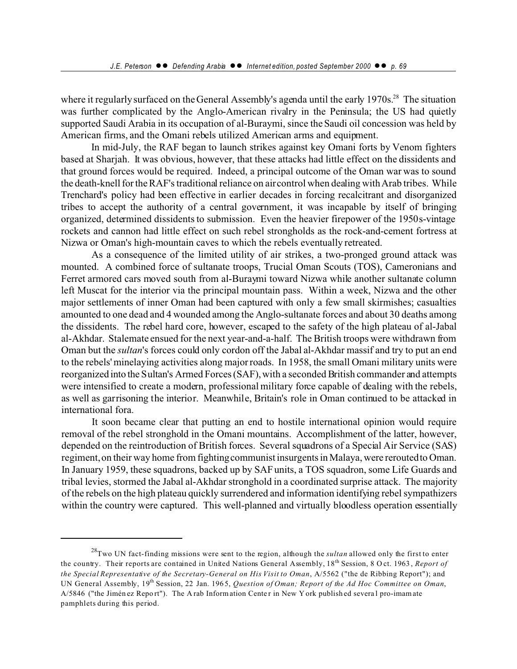where it regularly surfaced on the General Assembly's agenda until the early 1970s.<sup>28</sup> The situation was further complicated by the Anglo-American rivalry in the Peninsula; the US had quietly supported Saudi Arabia in its occupation of al-Buraymi, since the Saudi oil concession was held by American firms, and the Omani rebels utilized American arms and equipment.

In mid-July, the RAF began to launch strikes against key Omani forts by Venom fighters based at Sharjah. It was obvious, however, that these attacks had little effect on the dissidents and that ground forces would be required. Indeed, a principal outcome of the Oman war was to sound the death-knell for the RAF's traditional reliance on air control when dealing with Arab tribes. While Trenchard's policy had been effective in earlier decades in forcing recalcitrant and disorganized tribes to accept the authority of a central government, it was incapable by itself of bringing organized, determined dissidents to submission. Even the heavier firepower of the 1950s-vintage rockets and cannon had little effect on such rebel strongholds as the rock-and-cement fortress at Nizwa or Oman's high-mountain caves to which the rebels eventually retreated.

As a consequence of the limited utility of air strikes, a two-pronged ground attack was mounted. A combined force of sultanate troops, Trucial Oman Scouts (TOS), Cameronians and Ferret armored cars moved south from al-Buraymi toward Nizwa while another sultanate column left Muscat for the interior via the principal mountain pass. Within a week, Nizwa and the other major settlements of inner Oman had been captured with only a few small skirmishes; casualties amounted to one dead and 4 wounded among the Anglo-sultanate forces and about 30 deaths among the dissidents. The rebel hard core, however, escaped to the safety of the high plateau of al-Jabal al-Akhdar. Stalemate ensued for the next year-and-a-half. The British troops were withdrawn from Oman but the *sultan*'s forces could only cordon off the Jabal al-Akhdar massif and try to put an end to the rebels' minelaying activities along major roads. In 1958, the small Omani military units were reorganized into the Sultan's Armed Forces (SAF), with a seconded British commander and attempts were intensified to create a modern, professional military force capable of dealing with the rebels, as well as garrisoning the interior. Meanwhile, Britain's role in Oman continued to be attacked in international fora.

It soon became clear that putting an end to hostile international opinion would require removal of the rebel stronghold in the Omani mountains. Accomplishment of the latter, however, depended on the reintroduction of British forces. Several squadrons of a Special Air Service (SAS) regiment, on their way home from fighting communist insurgents in Malaya, were rerouted to Oman. In January 1959, these squadrons, backed up by SAF units, a TOS squadron, some Life Guards and tribal levies, stormed the Jabal al-Akhdar stronghold in a coordinated surprise attack. The majority of the rebels on the high plateau quickly surrendered and information identifying rebel sympathizers within the country were captured. This well-planned and virtually bloodless operation essentially

<sup>28</sup>Two UN fact-finding missions were sent to the region, although the *sultan* allowed only the first to enter the country. Their reports are contained in United Nations General Assembly, 18th Session, 8 O ct. 1963 , *Report of the Special Representative of the Secretary-General on His Visit to Oman*, A/5562 ("the de Ribbing Report"); and UN General Assembly, 19<sup>th</sup> Session, 22 Jan. 1965, *Question of Oman; Report of the Ad Hoc Committee on Oman*, A/5846 ("the Jimén ez Repo rt"). The A rab Inform ation Cente r in New Y ork publish ed severa l pro-imamate pamphlets during this period.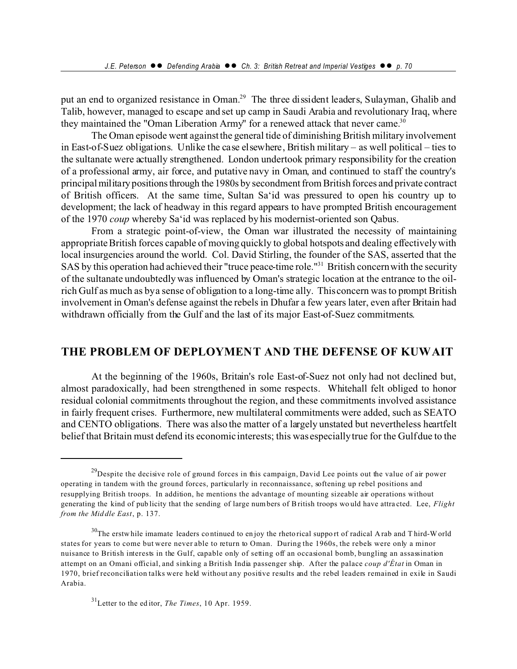put an end to organized resistance in Oman.<sup>29</sup> The three dissident leaders, Sulayman, Ghalib and Talib, however, managed to escape and set up camp in Saudi Arabia and revolutionary Iraq, where they maintained the "Oman Liberation Army" for a renewed attack that never came.<sup>30</sup>

The Oman episode went against the general tide of diminishing British military involvement in East-of-Suez obligations. Unlike the case elsewhere, British military – as well political – ties to the sultanate were actually strengthened. London undertook primary responsibility for the creation of a professional army, air force, and putative navy in Oman, and continued to staff the country's principal military positionsthrough the 1980s by secondment from British forces and private contract of British officers. At the same time, Sultan Sa'id was pressured to open his country up to development; the lack of headway in this regard appears to have prompted British encouragement of the 1970 *coup* whereby Sa'id was replaced by his modernist-oriented son Qabus.

From a strategic point-of-view, the Oman war illustrated the necessity of maintaining appropriate British forces capable of moving quickly to global hotspots and dealing effectively with local insurgencies around the world. Col. David Stirling, the founder of the SAS, asserted that the SAS by this operation had achieved their "truce peace-time role."<sup>31</sup> British concern with the security of the sultanate undoubtedly was influenced by Oman's strategic location at the entrance to the oilrich Gulf as much as by a sense of obligation to a long-time ally. This concern was to prompt British involvement in Oman's defense against the rebels in Dhufar a few years later, even after Britain had withdrawn officially from the Gulf and the last of its major East-of-Suez commitments.

## **THE PROBLEM OF DEPLOYMENT AND THE DEFENSE OF KUWAIT**

At the beginning of the 1960s, Britain's role East-of-Suez not only had not declined but, almost paradoxically, had been strengthened in some respects. Whitehall felt obliged to honor residual colonial commitments throughout the region, and these commitments involved assistance in fairly frequent crises. Furthermore, new multilateral commitments were added, such as SEATO and CENTO obligations. There was also the matter of a largely unstated but nevertheless heartfelt belief that Britain must defend its economic interests; this was especially true for the Gulf due to the

 $^{29}$ Despite the decisive role of ground forces in this campaign, David Lee points out the value of air power operating in tandem with the ground forces, particularly in reconnaissance, softening up rebel positions and resupplying British troops. In addition, he mentions the advantage of mounting sizeable air operations without generating the kind of pub licity that the sending of large numbers of British troops wo uld have attra cted. Lee, *Flight from the Mid dle East*, p. 137.

 $30$ The erstw hile imamate leaders continued to en joy the rhetorical support of radical A rab and T hird-World states for years to come but were never able to return to Oman. During the 1960s, the rebels were only a minor nuisance to British interests in the Gulf, capable only of setting off an occasional bomb, bungling an assassination attempt on an Omani official, and sinking a British India passenger ship. After the palace *coup d'État* in Oman in 1970, brief reconciliation talks were held without any positive results and the rebel leaders remained in exile in Saudi Arabia.

<sup>31</sup>Letter to the ed itor, *The Times*, 10 Apr. 1959.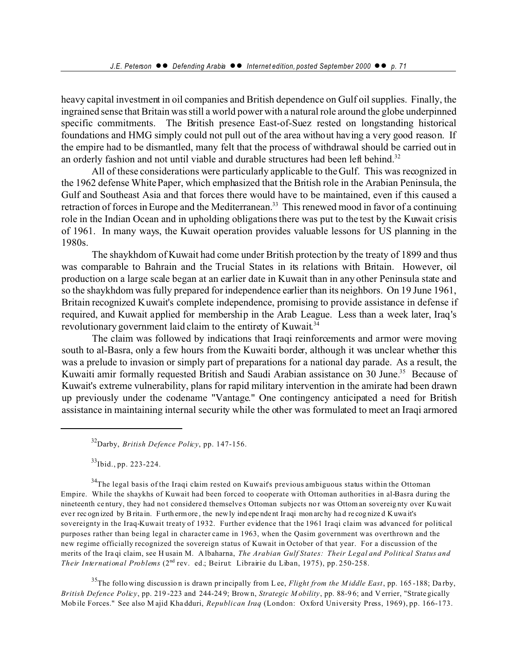heavy capital investment in oil companies and British dependence on Gulf oil supplies. Finally, the ingrained sense that Britain was still a world power with a natural role around the globe underpinned specific commitments. The British presence East-of-Suez rested on longstanding historical foundations and HMG simply could not pull out of the area without having a very good reason. If the empire had to be dismantled, many felt that the process of withdrawal should be carried out in an orderly fashion and not until viable and durable structures had been left behind.<sup>32</sup>

All of these considerations were particularly applicable to the Gulf. This was recognized in the 1962 defense White Paper, which emphasized that the British role in the Arabian Peninsula, the Gulf and Southeast Asia and that forces there would have to be maintained, even if this caused a retraction of forces in Europe and the Mediterranean.<sup>33</sup> This renewed mood in favor of a continuing role in the Indian Ocean and in upholding obligations there was put to the test by the Kuwait crisis of 1961. In many ways, the Kuwait operation provides valuable lessons for US planning in the 1980s.

The shaykhdom of Kuwait had come under British protection by the treaty of 1899 and thus was comparable to Bahrain and the Trucial States in its relations with Britain. However, oil production on a large scale began at an earlier date in Kuwait than in any other Peninsula state and so the shaykhdom was fully prepared for independence earlier than its neighbors. On 19 June 1961, Britain recognized Kuwait's complete independence, promising to provide assistance in defense if required, and Kuwait applied for membership in the Arab League. Less than a week later, Iraq's revolutionary government laid claim to the entirety of Kuwait.<sup>34</sup>

The claim was followed by indications that Iraqi reinforcements and armor were moving south to al-Basra, only a few hours from the Kuwaiti border, although it was unclear whether this was a prelude to invasion or simply part of preparations for a national day parade. As a result, the Kuwaiti amir formally requested British and Saudi Arabian assistance on 30 June.<sup>35</sup> Because of Kuwait's extreme vulnerability, plans for rapid military intervention in the amirate had been drawn up previously under the codename "Vantage." One contingency anticipated a need for British assistance in maintaining internal security while the other was formulated to meet an Iraqi armored

<sup>33</sup>Ibid., pp. 223-224.

<sup>34</sup>The legal basis of the Iraqi claim rested on Kuwait's previous ambiguous status within the Ottoman Empire. While the shaykhs of Kuwait had been forced to cooperate with Ottoman authorities in al-Basra during the nineteenth century, they had not considered themselves Ottoman subjects nor was Ottoman sovereignty over Ku wait ever rec ogn ized by Brita in. Furth ermore, the newly ind ependent Iraqi mon arc hy had recognized Kuwa it's sovereignty in the Iraq-Kuwait treaty of 1932. Further evidence that the 1961 Iraqi claim was advanced for political purposes rather than being legal in character came in 1963, when the Qasim government was overthrown and the new regime officially recognized the sovereign status of Kuwait in October of that year. For a discussion of the merits of the Ira qi claim, see H usain M. A lbaharna, *The Arabian Gulf States: Their Legal and Political Status and Their International Problems* (2nd rev. ed.; Beirut: Librairie du Liban, 1975), pp. 250-258.

<sup>35</sup>The follo wing discussio n is drawn principally from L ee, *Flight from the M iddle East*, pp. 165 -188; Da rby, *British Defence Policy*, pp. 219 -223 and 244-24 9; Brow n, *Strategic M obility*, pp. 88-9 6; and V errier, "Strate gically Mob ile Forces." See also M ajid Kha dduri, *Republican Iraq* (London: Oxford University Press, 1969), pp. 166-173.

<sup>32</sup>Darby, *British Defence Policy*, pp. 147-156.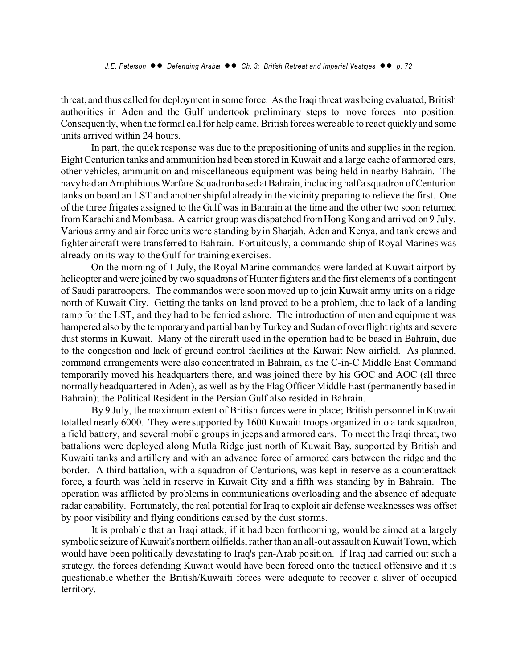threat, and thus called for deployment in some force. As the Iraqi threat was being evaluated, British authorities in Aden and the Gulf undertook preliminary steps to move forces into position. Consequently, when the formal call for help came, British forces were able to react quickly and some units arrived within 24 hours.

In part, the quick response was due to the prepositioning of units and supplies in the region. Eight Centurion tanks and ammunition had been stored in Kuwait and a large cache of armored cars, other vehicles, ammunition and miscellaneous equipment was being held in nearby Bahrain. The navy had an Amphibious Warfare Squadron based at Bahrain, including half a squadron of Centurion tanks on board an LST and another shipful already in the vicinity preparing to relieve the first. One of the three frigates assigned to the Gulf was in Bahrain at the time and the other two soon returned from Karachi and Mombasa. A carrier group was dispatched from Hong Kong and arrived on 9 July. Various army and air force units were standing by in Sharjah, Aden and Kenya, and tank crews and fighter aircraft were transferred to Bahrain. Fortuitously, a commando ship of Royal Marines was already on its way to the Gulf for training exercises.

On the morning of 1 July, the Royal Marine commandos were landed at Kuwait airport by helicopter and were joined by two squadrons of Hunter fighters and the first elements of a contingent of Saudi paratroopers. The commandos were soon moved up to join Kuwait army units on a ridge north of Kuwait City. Getting the tanks on land proved to be a problem, due to lack of a landing ramp for the LST, and they had to be ferried ashore. The introduction of men and equipment was hampered also by the temporary and partial ban by Turkey and Sudan of overflight rights and severe dust storms in Kuwait. Many of the aircraft used in the operation had to be based in Bahrain, due to the congestion and lack of ground control facilities at the Kuwait New airfield. As planned, command arrangements were also concentrated in Bahrain, as the C-in-C Middle East Command temporarily moved his headquarters there, and was joined there by his GOC and AOC (all three normally headquartered in Aden), as well as by the Flag Officer Middle East (permanently based in Bahrain); the Political Resident in the Persian Gulf also resided in Bahrain.

By 9 July, the maximum extent of British forces were in place; British personnel in Kuwait totalled nearly 6000. They were supported by 1600 Kuwaiti troops organized into a tank squadron, a field battery, and several mobile groups in jeeps and armored cars. To meet the Iraqi threat, two battalions were deployed along Mutla Ridge just north of Kuwait Bay, supported by British and Kuwaiti tanks and artillery and with an advance force of armored cars between the ridge and the border. A third battalion, with a squadron of Centurions, was kept in reserve as a counterattack force, a fourth was held in reserve in Kuwait City and a fifth was standing by in Bahrain. The operation was afflicted by problems in communications overloading and the absence of adequate radar capability. Fortunately, the real potential for Iraq to exploit air defense weaknesses was offset by poor visibility and flying conditions caused by the dust storms.

It is probable that an Iraqi attack, if it had been forthcoming, would be aimed at a largely symbolic seizure of Kuwait's northern oilfields, rather than an all-out assault on Kuwait Town, which would have been politically devastating to Iraq's pan-Arab position. If Iraq had carried out such a strategy, the forces defending Kuwait would have been forced onto the tactical offensive and it is questionable whether the British/Kuwaiti forces were adequate to recover a sliver of occupied territory.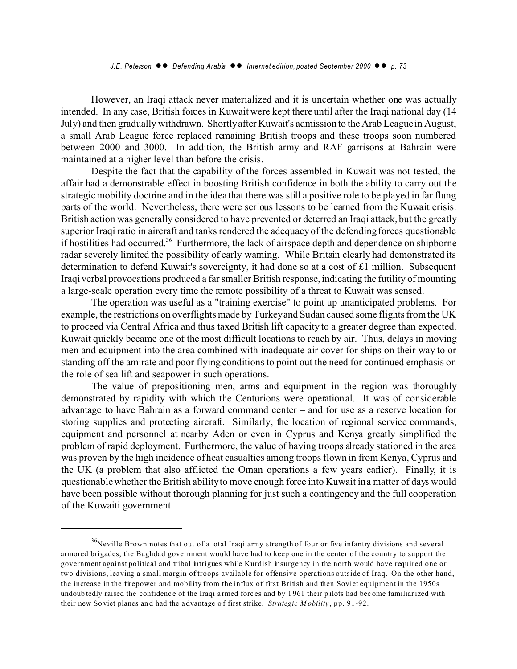However, an Iraqi attack never materialized and it is uncertain whether one was actually intended. In any case, British forces in Kuwait were kept there until after the Iraqi national day (14 July) and then gradually withdrawn. Shortly after Kuwait's admission to the Arab League in August, a small Arab League force replaced remaining British troops and these troops soon numbered between 2000 and 3000. In addition, the British army and RAF garrisons at Bahrain were maintained at a higher level than before the crisis.

Despite the fact that the capability of the forces assembled in Kuwait was not tested, the affair had a demonstrable effect in boosting British confidence in both the ability to carry out the strategic mobility doctrine and in the idea that there was still a positive role to be played in far flung parts of the world. Nevertheless, there were serious lessons to be learned from the Kuwait crisis. British action was generally considered to have prevented or deterred an Iraqi attack, but the greatly superior Iraqi ratio in aircraft and tanks rendered the adequacy of the defending forces questionable if hostilities had occurred.<sup>36</sup> Furthermore, the lack of airspace depth and dependence on shipborne radar severely limited the possibility of early warning. While Britain clearly had demonstrated its determination to defend Kuwait's sovereignty, it had done so at a cost of £1 million. Subsequent Iraqi verbal provocations produced a far smaller British response, indicating the futility of mounting a large-scale operation every time the remote possibility of a threat to Kuwait was sensed.

The operation was useful as a "training exercise" to point up unanticipated problems. For example, the restrictions on overflights made by Turkey and Sudan caused some flights from the UK to proceed via Central Africa and thus taxed British lift capacity to a greater degree than expected. Kuwait quickly became one of the most difficult locations to reach by air. Thus, delays in moving men and equipment into the area combined with inadequate air cover for ships on their way to or standing off the amirate and poor flying conditions to point out the need for continued emphasis on the role of sea lift and seapower in such operations.

The value of prepositioning men, arms and equipment in the region was thoroughly demonstrated by rapidity with which the Centurions were operational. It was of considerable advantage to have Bahrain as a forward command center – and for use as a reserve location for storing supplies and protecting aircraft. Similarly, the location of regional service commands, equipment and personnel at nearby Aden or even in Cyprus and Kenya greatly simplified the problem of rapid deployment. Furthermore, the value of having troops already stationed in the area was proven by the high incidence of heat casualties among troops flown in from Kenya, Cyprus and the UK (a problem that also afflicted the Oman operations a few years earlier). Finally, it is questionable whether the British ability to move enough force into Kuwait in a matter of days would have been possible without thorough planning for just such a contingency and the full cooperation of the Kuwaiti government.

<sup>&</sup>lt;sup>36</sup>Neville Brown notes that out of a total Iraqi army strength of four or five infantry divisions and several armored brigades, the Baghdad government would have had to keep one in the center of the country to support the government against political and tribal intrigues while Kurdish insurgency in the north would have required one or two divisions, leaving a small margin of troops available for offensive operations outside of Iraq. On the other hand, the increase in the firepower and mobility from the influx of first British and then Soviet equipment in the 1950s undoub tedly raised the confidence of the Iraqi armed forces and by 1961 their pilots had become familiarized with their new So viet planes an d had the a dvantage o f first strike. *Strategic M obility*, pp. 91-92.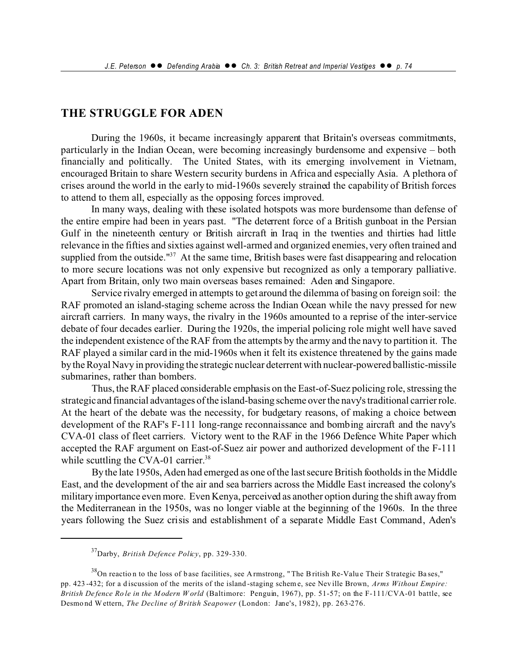# **THE STRUGGLE FOR ADEN**

During the 1960s, it became increasingly apparent that Britain's overseas commitments, particularly in the Indian Ocean, were becoming increasingly burdensome and expensive – both financially and politically. The United States, with its emerging involvement in Vietnam, encouraged Britain to share Western security burdens in Africa and especially Asia. A plethora of crises around the world in the early to mid-1960s severely strained the capability of British forces to attend to them all, especially as the opposing forces improved.

In many ways, dealing with these isolated hotspots was more burdensome than defense of the entire empire had been in years past. "The deterrent force of a British gunboat in the Persian Gulf in the nineteenth century or British aircraft in Iraq in the twenties and thirties had little relevance in the fifties and sixties against well-armed and organized enemies, very often trained and supplied from the outside."<sup>37</sup> At the same time, British bases were fast disappearing and relocation to more secure locations was not only expensive but recognized as only a temporary palliative. Apart from Britain, only two main overseas bases remained: Aden and Singapore.

Service rivalry emerged in attempts to get around the dilemma of basing on foreign soil: the RAF promoted an island-staging scheme across the Indian Ocean while the navy pressed for new aircraft carriers. In many ways, the rivalry in the 1960s amounted to a reprise of the inter-service debate of four decades earlier. During the 1920s, the imperial policing role might well have saved the independent existence of the RAF from the attempts by the army and the navy to partition it. The RAF played a similar card in the mid-1960s when it felt its existence threatened by the gains made by the Royal Navy in providing the strategic nuclear deterrent with nuclear-powered ballistic-missile submarines, rather than bombers.

Thus, the RAF placed considerable emphasis on the East-of-Suez policing role, stressing the strategic and financial advantages of the island-basing scheme over the navy's traditional carrier role. At the heart of the debate was the necessity, for budgetary reasons, of making a choice between development of the RAF's F-111 long-range reconnaissance and bombing aircraft and the navy's CVA-01 class of fleet carriers. Victory went to the RAF in the 1966 Defence White Paper which accepted the RAF argument on East-of-Suez air power and authorized development of the F-111 while scuttling the CVA-01 carrier.<sup>38</sup>

By the late 1950s, Aden had emerged as one of the last secure British footholds in the Middle East, and the development of the air and sea barriers across the Middle East increased the colony's military importance even more. Even Kenya, perceived as another option during the shift away from the Mediterranean in the 1950s, was no longer viable at the beginning of the 1960s. In the three years following the Suez crisis and establishment of a separate Middle East Command, Aden's

<sup>37</sup>Darby, *British Defence Policy*, pp. 329-330.

<sup>&</sup>lt;sup>38</sup>On reaction to the loss of base facilities, see Armstrong, "The British Re-Value Their Strategic Bases," pp. 423 -432; for a d iscussion of the merits of the island -staging scheme, see Nev ille Brown, *Arms Without Empire: British De fence Ro le in the M odern W orld* (Baltimore: Penguin, 1967), pp. 51-57; on the F-111/CVA-01 battle, see Desmo nd Wettern, *The Decline of British Seapower* (London: Jane's, 1982), pp. 263-276.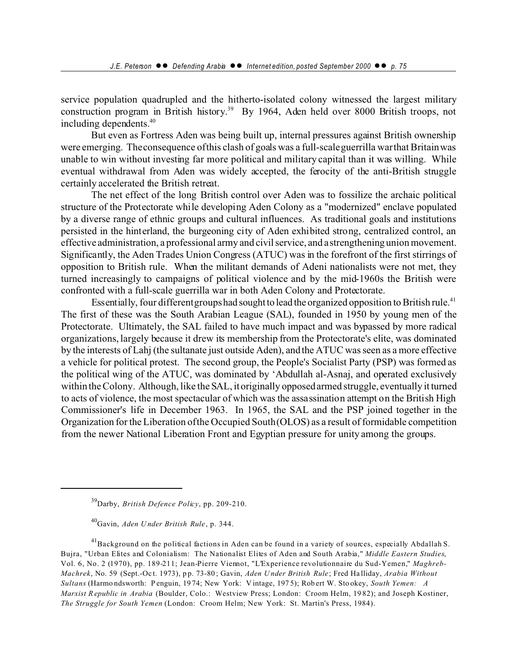service population quadrupled and the hitherto-isolated colony witnessed the largest military construction program in British history.<sup>39</sup> By 1964, Aden held over 8000 British troops, not including dependents.<sup>40</sup>

But even as Fortress Aden was being built up, internal pressures against British ownership were emerging. The consequence of this clash of goals was a full-scale guerrilla war that Britain was unable to win without investing far more political and military capital than it was willing. While eventual withdrawal from Aden was widely accepted, the ferocity of the anti-British struggle certainly accelerated the British retreat.

The net effect of the long British control over Aden was to fossilize the archaic political structure of the Protectorate while developing Aden Colony as a "modernized" enclave populated by a diverse range of ethnic groups and cultural influences. As traditional goals and institutions persisted in the hinterland, the burgeoning city of Aden exhibited strong, centralized control, an effective administration, a professional army and civil service, and a strengthening union movement. Significantly, the Aden Trades Union Congress (ATUC) was in the forefront of the first stirrings of opposition to British rule. When the militant demands of Adeni nationalists were not met, they turned increasingly to campaigns of political violence and by the mid-1960s the British were confronted with a full-scale guerrilla war in both Aden Colony and Protectorate.

Essentially, four different groups had sought to lead the organized opposition to British rule.<sup>41</sup> The first of these was the South Arabian League (SAL), founded in 1950 by young men of the Protectorate. Ultimately, the SAL failed to have much impact and was bypassed by more radical organizations, largely because it drew its membership from the Protectorate's elite, was dominated by the interests of Lahj (the sultanate just outside Aden), and the ATUC was seen as a more effective a vehicle for political protest. The second group, the People's Socialist Party (PSP) was formed as the political wing of the ATUC, was dominated by 'Abdullah al-Asnaj, and operated exclusively within the Colony. Although, like the SAL, it originally opposed armed struggle, eventually it turned to acts of violence, the most spectacular of which was the assassination attempt on the British High Commissioner's life in December 1963. In 1965, the SAL and the PSP joined together in the Organization for the Liberation of the Occupied South (OLOS) as a result of formidable competition from the newer National Liberation Front and Egyptian pressure for unity among the groups.

<sup>40</sup>Gavin, *Aden U nder British Rule*, p. 344.

<sup>41</sup>Background on the political factions in Aden can be found in a variety of sources, especially Abdallah S. Bujra, "Urban Elites and Colonialism: The Nationalist Elites of Aden and South Arabia," *Middle Eastern Studies*, Vol. 6, No. 2 (1970), pp. 189-211; Jean-Pierre Viennot, "L'Experience revolutionnaire du Sud-Yemen," *Maghreb-Machrek*, No. 59 (Sept.-Oc t. 1973), p p. 73-80 ; Gavin, *Aden U nder British Rule*; Fred Ha lliday, *Arabia Without Sultans* (Harmo ndsworth: P enguin, 19 74; New York: V intage, 197 5); Rob ert W. Sto okey, *South Yemen: A Marxist R epublic in Arabia* (Boulder, Colo.: Westview Press; London: Croom Helm, 19 82); and Joseph Kostiner, *The Struggle for South Yemen* (London: Croom Helm; New York: St. Martin's Press, 1984).

<sup>39</sup>Darby, *British Defence Policy*, pp. 209-210.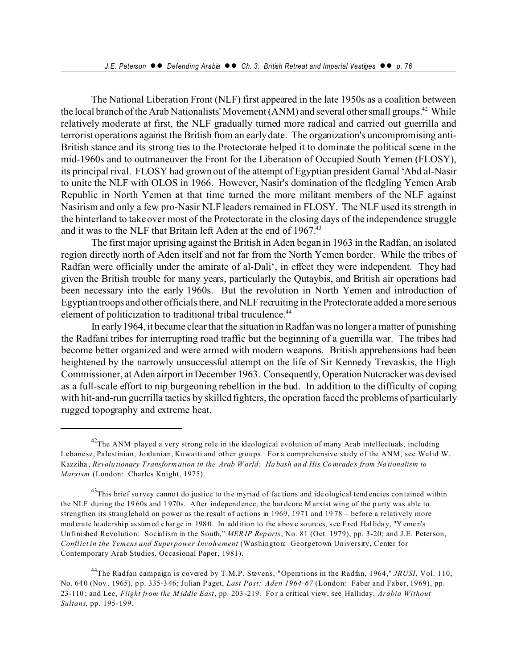The National Liberation Front (NLF) first appeared in the late 1950s as a coalition between the local branch of the Arab Nationalists' Movement (ANM) and several other small groups.<sup>42</sup> While relatively moderate at first, the NLF gradually turned more radical and carried out guerrilla and terrorist operations against the British from an early date. The organization's uncompromising anti-British stance and its strong ties to the Protectorate helped it to dominate the political scene in the mid-1960s and to outmaneuver the Front for the Liberation of Occupied South Yemen (FLOSY), its principal rival. FLOSY had grown out of the attempt of Egyptian president Gamal 'Abd al-Nasir to unite the NLF with OLOS in 1966. However, Nasir's domination of the fledgling Yemen Arab Republic in North Yemen at that time turned the more militant members of the NLF against Nasirism and only a few pro-Nasir NLF leaders remained in FLOSY. The NLF used its strength in the hinterland to take over most of the Protectorate in the closing days of the independence struggle and it was to the NLF that Britain left Aden at the end of 1967.<sup>43</sup>

The first major uprising against the British in Aden began in 1963 in the Radfan, an isolated region directly north of Aden itself and not far from the North Yemen border. While the tribes of Radfan were officially under the amirate of al-Dali', in effect they were independent. They had given the British trouble for many years, particularly the Qutaybis, and British air operations had been necessary into the early 1960s. But the revolution in North Yemen and introduction of Egyptian troops and other officials there, and NLF recruiting in the Protectorate added a more serious element of politicization to traditional tribal truculence.<sup>44</sup>

In early 1964, it became clear that the situation in Radfan was no longer a matter of punishing the Radfani tribes for interrupting road traffic but the beginning of a guerrilla war. The tribes had become better organized and were armed with modern weapons. British apprehensions had been heightened by the narrowly unsuccessful attempt on the life of Sir Kennedy Trevaskis, the High Commissioner, at Aden airport in December 1963. Consequently, Operation Nutcracker was devised as a full-scale effort to nip burgeoning rebellion in the bud. In addition to the difficulty of coping with hit-and-run guerrilla tactics by skilled fighters, the operation faced the problems of particularly rugged topography and extreme heat.

 $42$ The ANM played a very strong role in the ideological evolution of many Arab intellectuals, including Lebanese, Palestinian, Jordanian, Kuwaiti and other groups. For a comprehensive study of the ANM, see Walid W. Kazziha , *Revolu tionary T ransform ation in the Arab W orld: Ha bash an d His Co mrade s from Na tionalism to Marxism* (London: Charles Knight, 1975).

<sup>&</sup>lt;sup>43</sup>This brief survey cannot do justice to the myriad of factions and ide ological tend encies contained within the NLF during the 19 60s and 1 970s. After independ ence, the har dcore M arxist wing of the p arty was able to strengthen its stranglehold on power as the result of actions in 1969, 1971 and 19 78 – before a relatively more mod erate leadership assumed charge in 1980. In add ition to the above sources, see Fred Halliday, "Y emen's Unfinished Revolution: Socialism in the South," *MER IP Rep orts*, No. 81 (Oct. 1979), pp. 3-20; and J.E. Peterson, *Conflict in the Yemens and Superpower Involvement* (Washington: Georgetown University, Center for Contemporary Arab Studies, Occasional Paper, 1981).

<sup>44</sup>The Radfan campaign is covered by T.M.P. Stevens, "Operations in the Radfan, 1964," *JRUSI*, Vol. 110, No. 64 0 (Nov . 1965), p p. 335-3 46; Julian P aget, *Last Post: Aden 1964-67* (London: Faber and Faber, 1969), pp. 23-110 ; and Lee, *Flight from the M iddle East*, pp. 203 -219. Fo r a critical view, see Halliday, *Arabia Without Sultans*, pp. 195-199.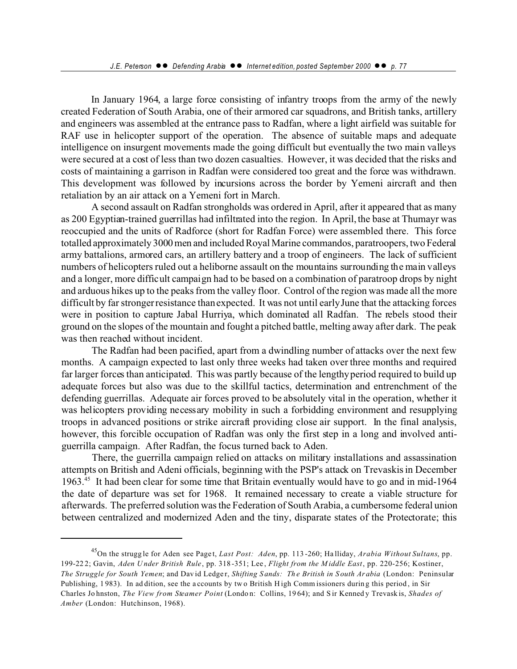In January 1964, a large force consisting of infantry troops from the army of the newly created Federation of South Arabia, one of their armored car squadrons, and British tanks, artillery and engineers was assembled at the entrance pass to Radfan, where a light airfield was suitable for RAF use in helicopter support of the operation. The absence of suitable maps and adequate intelligence on insurgent movements made the going difficult but eventually the two main valleys were secured at a cost of less than two dozen casualties. However, it was decided that the risks and costs of maintaining a garrison in Radfan were considered too great and the force was withdrawn. This development was followed by incursions across the border by Yemeni aircraft and then retaliation by an air attack on a Yemeni fort in March.

A second assault on Radfan strongholds was ordered in April, after it appeared that as many as 200 Egyptian-trained guerrillas had infiltrated into the region. In April, the base at Thumayr was reoccupied and the units of Radforce (short for Radfan Force) were assembled there. This force totalled approximately 3000 men and included Royal Marine commandos, paratroopers, two Federal army battalions, armored cars, an artillery battery and a troop of engineers. The lack of sufficient numbers of helicopters ruled out a heliborne assault on the mountains surrounding the main valleys and a longer, more difficult campaign had to be based on a combination of paratroop drops by night and arduous hikes up to the peaks from the valley floor. Control of the region was made all the more difficult by far stronger resistance than expected. It was not until early June that the attacking forces were in position to capture Jabal Hurriya, which dominated all Radfan. The rebels stood their ground on the slopes of the mountain and fought a pitched battle, melting away after dark. The peak was then reached without incident.

The Radfan had been pacified, apart from a dwindling number of attacks over the next few months. A campaign expected to last only three weeks had taken over three months and required far larger forces than anticipated. This was partly because of the lengthy period required to build up adequate forces but also was due to the skillful tactics, determination and entrenchment of the defending guerrillas. Adequate air forces proved to be absolutely vital in the operation, whether it was helicopters providing necessary mobility in such a forbidding environment and resupplying troops in advanced positions or strike aircraft providing close air support. In the final analysis, however, this forcible occupation of Radfan was only the first step in a long and involved antiguerrilla campaign. After Radfan, the focus turned back to Aden.

There, the guerrilla campaign relied on attacks on military installations and assassination attempts on British and Adeni officials, beginning with the PSP's attack on Trevaskis in December 1963.<sup>45</sup> It had been clear for some time that Britain eventually would have to go and in mid-1964 the date of departure was set for 1968. It remained necessary to create a viable structure for afterwards. The preferred solution was the Federation of South Arabia, a cumbersome federal union between centralized and modernized Aden and the tiny, disparate states of the Protectorate; this

<sup>45</sup>On the strugg le for Aden see Page t, *Last Post: Aden*, pp. 113 -260; Ha lliday, *Arabia Without Sultans*, pp. 199-22 2; Gavin, *Aden U nder British Rule*, pp. 318 -351; Lee , *Flight from the M iddle East*, pp. 220-256; Kostiner, *The Struggle for South Yemen*; and Dav id Ledge r, *Shifting S ands: Th e British in S outh Ar abia* (London: Peninsular Publishing, 1983). In addition, see the accounts by two British High Comm issioners during this period, in Sir Charles Jo hnston, *The View from Steamer Point* (Londo n: Collins, 19 64); and S ir Kenned y Trevask is, *Shades of Amber* (London: Hutchinson, 1968).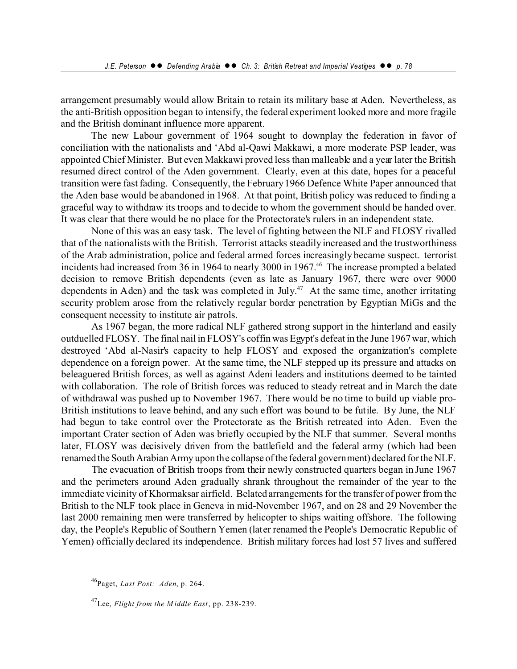arrangement presumably would allow Britain to retain its military base at Aden. Nevertheless, as the anti-British opposition began to intensify, the federal experiment looked more and more fragile and the British dominant influence more apparent.

The new Labour government of 1964 sought to downplay the federation in favor of conciliation with the nationalists and 'Abd al-Qawi Makkawi, a more moderate PSP leader, was appointed Chief Minister. But even Makkawi proved less than malleable and a year later the British resumed direct control of the Aden government. Clearly, even at this date, hopes for a peaceful transition were fast fading. Consequently, the February 1966 Defence White Paper announced that the Aden base would be abandoned in 1968. At that point, British policy was reduced to finding a graceful way to withdraw its troops and to decide to whom the government should be handed over. It was clear that there would be no place for the Protectorate's rulers in an independent state.

None of this was an easy task. The level of fighting between the NLF and FLOSY rivalled that of the nationalists with the British. Terrorist attacks steadily increased and the trustworthiness of the Arab administration, police and federal armed forces increasingly became suspect. terrorist incidents had increased from 36 in 1964 to nearly 3000 in 1967.<sup>46</sup> The increase prompted a belated decision to remove British dependents (even as late as January 1967, there were over 9000 dependents in Aden) and the task was completed in July.<sup>47</sup> At the same time, another irritating security problem arose from the relatively regular border penetration by Egyptian MiGs and the consequent necessity to institute air patrols.

As 1967 began, the more radical NLF gathered strong support in the hinterland and easily outduelled FLOSY. The final nail in FLOSY's coffin was Egypt's defeat in the June 1967 war, which destroyed 'Abd al-Nasir's capacity to help FLOSY and exposed the organization's complete dependence on a foreign power. At the same time, the NLF stepped up its pressure and attacks on beleaguered British forces, as well as against Adeni leaders and institutions deemed to be tainted with collaboration. The role of British forces was reduced to steady retreat and in March the date of withdrawal was pushed up to November 1967. There would be no time to build up viable pro-British institutions to leave behind, and any such effort was bound to be futile. By June, the NLF had begun to take control over the Protectorate as the British retreated into Aden. Even the important Crater section of Aden was briefly occupied by the NLF that summer. Several months later, FLOSY was decisively driven from the battlefield and the federal army (which had been renamed the South Arabian Army upon the collapse of the federal government) declared for the NLF.

The evacuation of British troops from their newly constructed quarters began in June 1967 and the perimeters around Aden gradually shrank throughout the remainder of the year to the immediate vicinity of Khormaksar airfield. Belated arrangements for the transfer of power from the British to the NLF took place in Geneva in mid-November 1967, and on 28 and 29 November the last 2000 remaining men were transferred by helicopter to ships waiting offshore. The following day, the People's Republic of Southern Yemen (later renamed the People's Democratic Republic of Yemen) officially declared its independence. British military forces had lost 57 lives and suffered

<sup>46</sup>Paget, *Last Post: Aden*, p. 264.

<sup>47</sup>Lee, *Flight from the M iddle East*, pp. 238-239.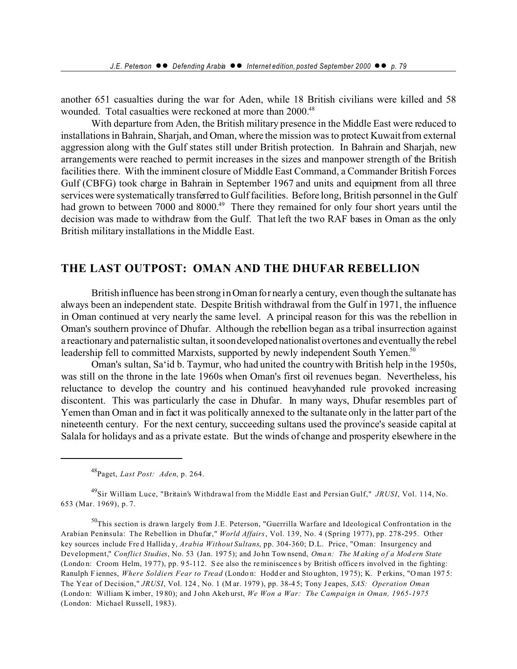another 651 casualties during the war for Aden, while 18 British civilians were killed and 58 wounded. Total casualties were reckoned at more than 2000.<sup>48</sup>

With departure from Aden, the British military presence in the Middle East were reduced to installations in Bahrain, Sharjah, and Oman, where the mission was to protect Kuwait from external aggression along with the Gulf states still under British protection. In Bahrain and Sharjah, new arrangements were reached to permit increases in the sizes and manpower strength of the British facilities there. With the imminent closure of Middle East Command, a Commander British Forces Gulf (CBFG) took charge in Bahrain in September 1967 and units and equipment from all three services were systematically transferred to Gulf facilities. Before long, British personnel in the Gulf had grown to between 7000 and 8000.<sup>49</sup> There they remained for only four short years until the decision was made to withdraw from the Gulf. That left the two RAF bases in Oman as the only British military installations in the Middle East.

### **THE LAST OUTPOST: OMAN AND THE DHUFAR REBELLION**

British influence has been strong in Oman for nearly a century, even though the sultanate has always been an independent state. Despite British withdrawal from the Gulf in 1971, the influence in Oman continued at very nearly the same level. A principal reason for this was the rebellion in Oman's southern province of Dhufar. Although the rebellion began as a tribal insurrection against a reactionary and paternalistic sultan, it soon developed nationalist overtones and eventually the rebel leadership fell to committed Marxists, supported by newly independent South Yemen.<sup>50</sup>

Oman's sultan, Sa'id b. Taymur, who had united the country with British help in the 1950s, was still on the throne in the late 1960s when Oman's first oil revenues began. Nevertheless, his reluctance to develop the country and his continued heavyhanded rule provoked increasing discontent. This was particularly the case in Dhufar. In many ways, Dhufar resembles part of Yemen than Oman and in fact it was politically annexed to the sultanate only in the latter part of the nineteenth century. For the next century, succeeding sultans used the province's seaside capital at Salala for holidays and as a private estate. But the winds of change and prosperity elsewhere in the

<sup>48</sup>Paget, *Last Post: Aden*, p. 264.

<sup>49</sup>Sir William Luce, "Britain's Withdrawal from the Middle East and Persian Gulf," *JRUSI*, Vol. 114, No. 653 (Mar. 1969), p. 7.

<sup>50</sup>This section is drawn largely from J.E. Peterson, "Guerrilla Warfare and Ideological Confrontation in the Arabian Peninsula: The Rebellion in Dhufar," *World Affairs*, Vol. 139, No. 4 (Spring 1977), pp. 278-295. Other key sources include Fre d Hallida y, *Arabia Without Sultans*, pp. 304-360; D.L. Price, "Oman: Insurgency and Development," *Conflict Studies*, No. 53 (Jan. 197 5); and Jo hn Tow nsend, *Oma n: The M aking o f a Mod ern State* (London: Croom Helm, 1977), pp. 95-112. See also the reminiscences by British officers involved in the fighting: Ranulph F iennes, *Where Soldiers Fear to Tread* (Londo n: Hodd er and Sto ughton, 19 75); K. P erkins, "Oman 197 5: The Year of Decision," *JRUSI*, Vol. 124 , No. 1 (M ar. 1979 ), pp. 38-4 5; Tony J eapes, *SAS: Operation Oman* (Londo n: William K imber, 19 80); and J ohn Akeh urst, *We Won a War: The Campaign in Oman, 1965-1975* (London: Michael Russell, 1983).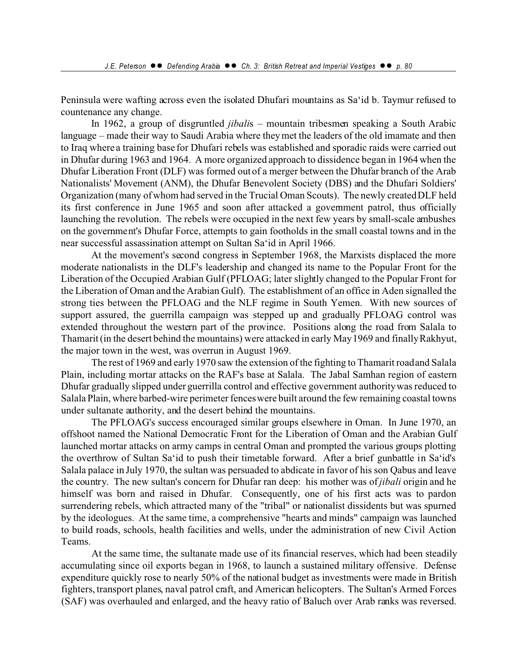Peninsula were wafting across even the isolated Dhufari mountains as Sa'id b. Taymur refused to countenance any change.

In 1962, a group of disgruntled *jibali*s – mountain tribesmen speaking a South Arabic language – made their way to Saudi Arabia where they met the leaders of the old imamate and then to Iraq where a training base for Dhufari rebels was established and sporadic raids were carried out in Dhufar during 1963 and 1964. A more organized approach to dissidence began in 1964 when the Dhufar Liberation Front (DLF) was formed out of a merger between the Dhufar branch of the Arab Nationalists' Movement (ANM), the Dhufar Benevolent Society (DBS) and the Dhufari Soldiers' Organization (many of whom had served in the Trucial Oman Scouts). The newly created DLF held its first conference in June 1965 and soon after attacked a government patrol, thus officially launching the revolution. The rebels were occupied in the next few years by small-scale ambushes on the government's Dhufar Force, attempts to gain footholds in the small coastal towns and in the near successful assassination attempt on Sultan Sa'id in April 1966.

At the movement's second congress in September 1968, the Marxists displaced the more moderate nationalists in the DLF's leadership and changed its name to the Popular Front for the Liberation of the Occupied Arabian Gulf (PFLOAG; later slightly changed to the Popular Front for the Liberation of Oman and the Arabian Gulf). The establishment of an office in Aden signalled the strong ties between the PFLOAG and the NLF regime in South Yemen. With new sources of support assured, the guerrilla campaign was stepped up and gradually PFLOAG control was extended throughout the western part of the province. Positions along the road from Salala to Thamarit (in the desert behind the mountains) were attacked in early May 1969 and finally Rakhyut, the major town in the west, was overrun in August 1969.

The rest of 1969 and early 1970 saw the extension of the fighting to Thamarit road and Salala Plain, including mortar attacks on the RAF's base at Salala. The Jabal Samhan region of eastern Dhufar gradually slipped under guerrilla control and effective government authority was reduced to Salala Plain, where barbed-wire perimeter fences were built around the few remaining coastal towns under sultanate authority, and the desert behind the mountains.

The PFLOAG's success encouraged similar groups elsewhere in Oman. In June 1970, an offshoot named the National Democratic Front for the Liberation of Oman and the Arabian Gulf launched mortar attacks on army camps in central Oman and prompted the various groups plotting the overthrow of Sultan Sa'id to push their timetable forward. After a brief gunbattle in Sa'id's Salala palace in July 1970, the sultan was persuaded to abdicate in favor of his son Qabus and leave the country. The new sultan's concern for Dhufar ran deep: his mother was of *jibali* origin and he himself was born and raised in Dhufar. Consequently, one of his first acts was to pardon surrendering rebels, which attracted many of the "tribal" or nationalist dissidents but was spurned by the ideologues. At the same time, a comprehensive "hearts and minds" campaign was launched to build roads, schools, health facilities and wells, under the administration of new Civil Action Teams.

At the same time, the sultanate made use of its financial reserves, which had been steadily accumulating since oil exports began in 1968, to launch a sustained military offensive. Defense expenditure quickly rose to nearly 50% of the national budget as investments were made in British fighters, transport planes, naval patrol craft, and American helicopters. The Sultan's Armed Forces (SAF) was overhauled and enlarged, and the heavy ratio of Baluch over Arab ranks was reversed.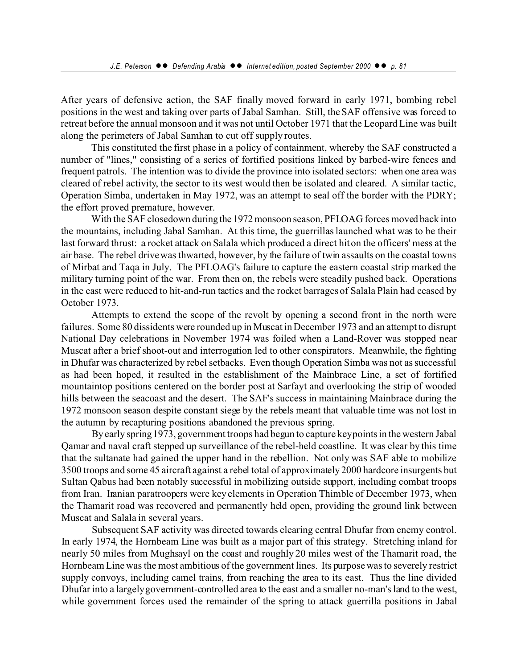After years of defensive action, the SAF finally moved forward in early 1971, bombing rebel positions in the west and taking over parts of Jabal Samhan. Still, the SAF offensive was forced to retreat before the annual monsoon and it was not until October 1971 that the Leopard Line was built along the perimeters of Jabal Samhan to cut off supply routes.

This constituted the first phase in a policy of containment, whereby the SAF constructed a number of "lines," consisting of a series of fortified positions linked by barbed-wire fences and frequent patrols. The intention was to divide the province into isolated sectors: when one area was cleared of rebel activity, the sector to its west would then be isolated and cleared. A similar tactic, Operation Simba, undertaken in May 1972, was an attempt to seal off the border with the PDRY; the effort proved premature, however.

With the SAF closedown during the 1972 monsoon season, PFLOAG forces moved back into the mountains, including Jabal Samhan. At this time, the guerrillas launched what was to be their last forward thrust: a rocket attack on Salala which produced a direct hit on the officers' mess at the air base. The rebel drive was thwarted, however, by the failure of twin assaults on the coastal towns of Mirbat and Taqa in July. The PFLOAG's failure to capture the eastern coastal strip marked the military turning point of the war. From then on, the rebels were steadily pushed back. Operations in the east were reduced to hit-and-run tactics and the rocket barrages of Salala Plain had ceased by October 1973.

Attempts to extend the scope of the revolt by opening a second front in the north were failures. Some 80 dissidents were rounded up in Muscat in December 1973 and an attempt to disrupt National Day celebrations in November 1974 was foiled when a Land-Rover was stopped near Muscat after a brief shoot-out and interrogation led to other conspirators. Meanwhile, the fighting in Dhufar was characterized by rebel setbacks. Even though Operation Simba was not as successful as had been hoped, it resulted in the establishment of the Mainbrace Line, a set of fortified mountaintop positions centered on the border post at Sarfayt and overlooking the strip of wooded hills between the seacoast and the desert. The SAF's success in maintaining Mainbrace during the 1972 monsoon season despite constant siege by the rebels meant that valuable time was not lost in the autumn by recapturing positions abandoned the previous spring.

By early spring 1973, government troops had begun to capture key points in the western Jabal Qamar and naval craft stepped up surveillance of the rebel-held coastline. It was clear by this time that the sultanate had gained the upper hand in the rebellion. Not only was SAF able to mobilize 3500 troops and some 45 aircraft against a rebel total of approximately 2000 hardcore insurgents but Sultan Qabus had been notably successful in mobilizing outside support, including combat troops from Iran. Iranian paratroopers were key elements in Operation Thimble of December 1973, when the Thamarit road was recovered and permanently held open, providing the ground link between Muscat and Salala in several years.

Subsequent SAF activity was directed towards clearing central Dhufar from enemy control. In early 1974, the Hornbeam Line was built as a major part of this strategy. Stretching inland for nearly 50 miles from Mughsayl on the coast and roughly 20 miles west of the Thamarit road, the Hornbeam Line was the most ambitious of the government lines. Its purpose was to severely restrict supply convoys, including camel trains, from reaching the area to its east. Thus the line divided Dhufar into a largely government-controlled area to the east and a smaller no-man's land to the west, while government forces used the remainder of the spring to attack guerrilla positions in Jabal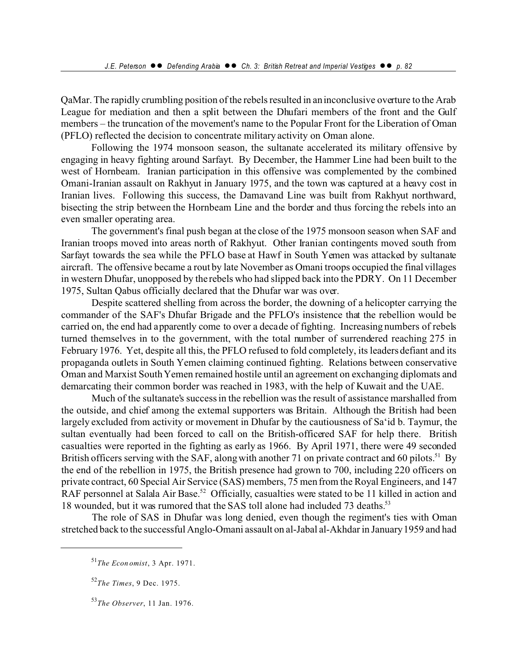QaMar. The rapidly crumbling position of the rebels resulted in an inconclusive overture to the Arab League for mediation and then a split between the Dhufari members of the front and the Gulf members – the truncation of the movement's name to the Popular Front for the Liberation of Oman (PFLO) reflected the decision to concentrate military activity on Oman alone.

Following the 1974 monsoon season, the sultanate accelerated its military offensive by engaging in heavy fighting around Sarfayt. By December, the Hammer Line had been built to the west of Hornbeam. Iranian participation in this offensive was complemented by the combined Omani-Iranian assault on Rakhyut in January 1975, and the town was captured at a heavy cost in Iranian lives. Following this success, the Damavand Line was built from Rakhyut northward, bisecting the strip between the Hornbeam Line and the border and thus forcing the rebels into an even smaller operating area.

The government's final push began at the close of the 1975 monsoon season when SAF and Iranian troops moved into areas north of Rakhyut. Other Iranian contingents moved south from Sarfayt towards the sea while the PFLO base at Hawf in South Yemen was attacked by sultanate aircraft. The offensive became a rout by late November as Omani troops occupied the final villages in western Dhufar, unopposed by the rebels who had slipped back into the PDRY. On 11 December 1975, Sultan Qabus officially declared that the Dhufar war was over.

Despite scattered shelling from across the border, the downing of a helicopter carrying the commander of the SAF's Dhufar Brigade and the PFLO's insistence that the rebellion would be carried on, the end had apparently come to over a decade of fighting. Increasing numbers of rebels turned themselves in to the government, with the total number of surrendered reaching 275 in February 1976. Yet, despite all this, the PFLO refused to fold completely, its leaders defiant and its propaganda outlets in South Yemen claiming continued fighting. Relations between conservative Oman and Marxist South Yemen remained hostile until an agreement on exchanging diplomats and demarcating their common border was reached in 1983, with the help of Kuwait and the UAE.

Much of the sultanate's success in the rebellion was the result of assistance marshalled from the outside, and chief among the external supporters was Britain. Although the British had been largely excluded from activity or movement in Dhufar by the cautiousness of Sa'id b. Taymur, the sultan eventually had been forced to call on the British-officered SAF for help there. British casualties were reported in the fighting as early as 1966. By April 1971, there were 49 seconded British officers serving with the SAF, along with another 71 on private contract and 60 pilots.<sup>51</sup> By the end of the rebellion in 1975, the British presence had grown to 700, including 220 officers on private contract, 60 Special Air Service (SAS) members, 75 men from the Royal Engineers, and 147 RAF personnel at Salala Air Base.<sup>52</sup> Officially, casualties were stated to be 11 killed in action and 18 wounded, but it was rumored that the SAS toll alone had included 73 deaths.<sup>53</sup>

The role of SAS in Dhufar was long denied, even though the regiment's ties with Oman stretched back to the successful Anglo-Omani assault on al-Jabal al-Akhdar in January 1959 and had

 $51$ <sup>The Economist, 3 Apr. 1971.</sup>

<sup>52</sup>*The Times*, 9 Dec. 1975.

<sup>53</sup>*The Observer*, 11 Jan. 1976.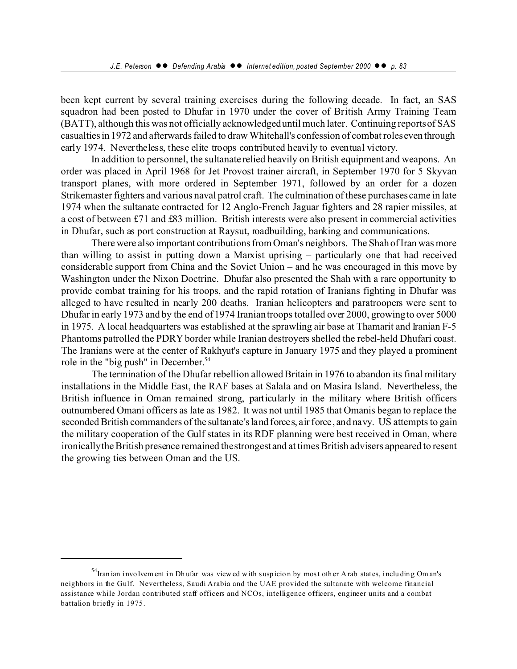been kept current by several training exercises during the following decade. In fact, an SAS squadron had been posted to Dhufar in 1970 under the cover of British Army Training Team (BATT), although this was not officially acknowledged until much later. Continuing reports of SAS casualties in 1972 and afterwards failed to draw Whitehall's confession of combat roles even through early 1974. Nevertheless, these elite troops contributed heavily to eventual victory.

In addition to personnel, the sultanate relied heavily on British equipment and weapons. An order was placed in April 1968 for Jet Provost trainer aircraft, in September 1970 for 5 Skyvan transport planes, with more ordered in September 1971, followed by an order for a dozen Strikemaster fighters and various naval patrol craft. The culmination of these purchases came in late 1974 when the sultanate contracted for 12 Anglo-French Jaguar fighters and 28 rapier missiles, at a cost of between £71 and £83 million. British interests were also present in commercial activities in Dhufar, such as port construction at Raysut, roadbuilding, banking and communications.

There were also important contributions from Oman's neighbors. The Shah of Iran was more than willing to assist in putting down a Marxist uprising – particularly one that had received considerable support from China and the Soviet Union – and he was encouraged in this move by Washington under the Nixon Doctrine. Dhufar also presented the Shah with a rare opportunity to provide combat training for his troops, and the rapid rotation of Iranians fighting in Dhufar was alleged to have resulted in nearly 200 deaths. Iranian helicopters and paratroopers were sent to Dhufar in early 1973 and by the end of 1974 Iranian troops totalled over 2000, growing to over 5000 in 1975. A local headquarters was established at the sprawling air base at Thamarit and Iranian F-5 Phantoms patrolled the PDRY border while Iranian destroyers shelled the rebel-held Dhufari coast. The Iranians were at the center of Rakhyut's capture in January 1975 and they played a prominent role in the "big push" in December.<sup>54</sup>

The termination of the Dhufar rebellion allowed Britain in 1976 to abandon its final military installations in the Middle East, the RAF bases at Salala and on Masira Island. Nevertheless, the British influence in Oman remained strong, particularly in the military where British officers outnumbered Omani officers as late as 1982. It was not until 1985 that Omanis began to replace the seconded British commanders of the sultanate's land forces, air force, and navy. US attempts to gain the military cooperation of the Gulf states in its RDF planning were best received in Oman, where ironically the British presence remained the strongest and at times British advisers appeared to resent the growing ties between Oman and the US.

 $54$ Iran ian i nvo lvem ent in Dh ufar was view ed with suspicion by most other Arab states, including Om an's neighbors in the Gulf. Nevertheless, Saudi Arabia and the UAE provided the sultanate with welcome financial assistance while Jordan contributed staff officers and NCOs, intelligence officers, engineer units and a combat battalion briefly in 1975.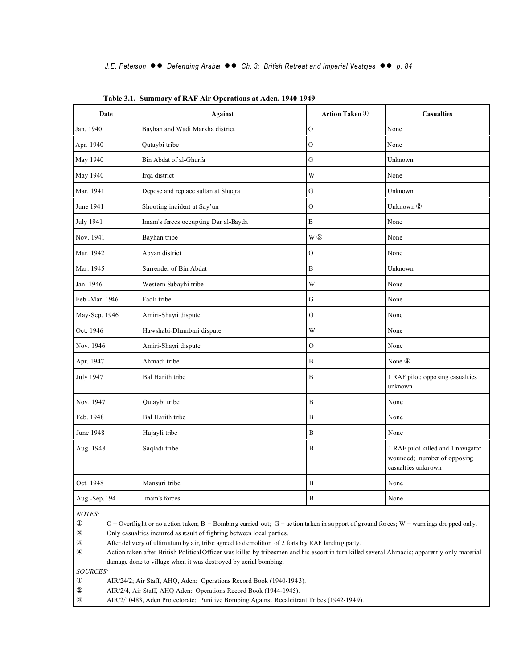| Date             | Against                              | Action Taken 1 | <b>Casualties</b>                                                                         |
|------------------|--------------------------------------|----------------|-------------------------------------------------------------------------------------------|
| Jan. 1940        | Bayhan and Wadi Markha district      | O              | None                                                                                      |
| Apr. 1940        | Qutaybi tribe                        | O              | None                                                                                      |
| May 1940         | Bin Abdat of al-Ghurfa               | G              | Unknown                                                                                   |
| May 1940         | Irqa district                        | W              | None                                                                                      |
| Mar. 1941        | Depose and replace sultan at Shuqra  | G              | Unknown                                                                                   |
| June 1941        | Shooting incident at Say'un          | $\mathbf{O}$   | Unknown <sup>2</sup>                                                                      |
| <b>July 1941</b> | Imam's forces occupying Dar al-Bayda | B              | None                                                                                      |
| Nov. 1941        | Bayhan tribe                         | W(3)           | None                                                                                      |
| Mar. 1942        | Abyan district                       | $\mathbf{O}$   | None                                                                                      |
| Mar. 1945        | Surrender of Bin Abdat               | B              | Unknown                                                                                   |
| Jan. 1946        | Western Subayhi tribe                | W              | None                                                                                      |
| Feb.-Mar. 1946   | Fadli tribe                          | G              | None                                                                                      |
| May-Sep. 1946    | Amiri-Shayri dispute                 | $\mathcal{O}$  | None                                                                                      |
| Oct. 1946        | Hawshabi-Dhambari dispute            | W              | None                                                                                      |
| Nov. 1946        | Amiri-Shayri dispute                 | $\overline{O}$ | None                                                                                      |
| Apr. 1947        | Ahmadi tribe                         | $\bf{B}$       | None 4                                                                                    |
| <b>July 1947</b> | Bal Harith tribe                     | B              | 1 RAF pilot; oppo sing casualties<br>unknown                                              |
| Nov. 1947        | Qutaybi tribe                        | B              | None                                                                                      |
| Feb. 1948        | Bal Harith tribe                     | B              | None                                                                                      |
| June 1948        | Hujayli tribe                        | B              | None                                                                                      |
| Aug. 1948        | Saqladi tribe                        | B              | 1 RAF pilot killed and 1 navigator<br>wounded; number of opposing<br>casualt ies unkn own |
| Oct. 1948        | Mansuri tribe                        | B              | None                                                                                      |
| Aug.-Sep. 194    | Imam's forces                        | B              | None                                                                                      |

**Table 3.1. Summary of RAF Air Operations at Aden, 1940-1949**

*NOTES:*

 $\hat{O}$  O = Overflight or no action taken; B = Bombin g carried out; G = action taken in support of ground for ces; W = warn ings dropped only.

2 Only casualties incurred as result of fighting between local parties.

Ð After delivery of ultimatum by a ir, tribe agreed to d emolition of 2 forts b y RAF landin g party.

Ñ Action taken after British Political Officer was killed by tribesmen and his escort in turn killed several Ahmadis; apparently only material damage done to village when it was destroyed by aerial bombing.

*SOURCES:*

Î AIR/24/2; Air Staff, AHQ, Aden: Operations Record Book (1940-194 3).

AIR/2/4, Air Staff, AHQ Aden: Operations Record Book (1944-1945).

Ð AIR/2/10483, Aden Protectorate: Punitive Bombing Against Recalcitrant Tribes (1942-194 9).